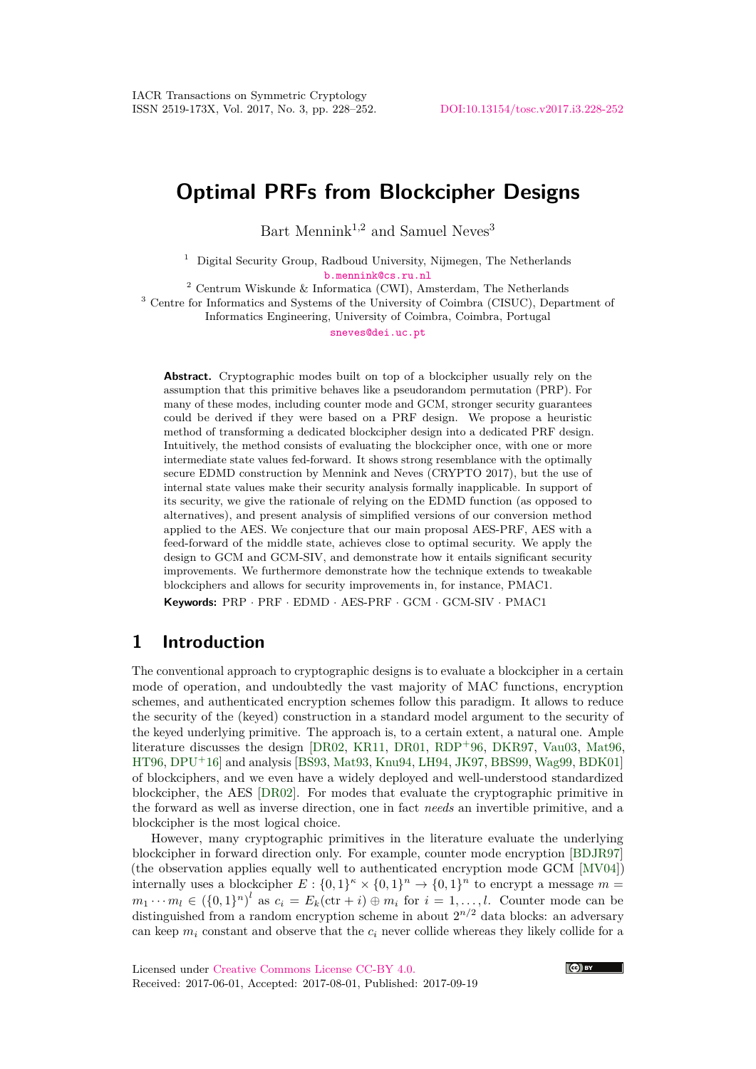# **Optimal PRFs from Blockcipher Designs**

Bart Mennink<sup>1,2</sup> and Samuel Neves<sup>3</sup>

<sup>1</sup> Digital Security Group, Radboud University, Nijmegen, The Netherlands [b.mennink@cs.ru.nl](mailto:b.mennink@cs.ru.nl)

<sup>2</sup> Centrum Wiskunde & Informatica (CWI), Amsterdam, The Netherlands

<sup>3</sup> Centre for Informatics and Systems of the University of Coimbra (CISUC), Department of Informatics Engineering, University of Coimbra, Coimbra, Portugal

[sneves@dei.uc.pt](mailto:sneves@dei.uc.pt)

**Abstract.** Cryptographic modes built on top of a blockcipher usually rely on the assumption that this primitive behaves like a pseudorandom permutation (PRP). For many of these modes, including counter mode and GCM, stronger security guarantees could be derived if they were based on a PRF design. We propose a heuristic method of transforming a dedicated blockcipher design into a dedicated PRF design. Intuitively, the method consists of evaluating the blockcipher once, with one or more intermediate state values fed-forward. It shows strong resemblance with the optimally secure EDMD construction by Mennink and Neves (CRYPTO 2017), but the use of internal state values make their security analysis formally inapplicable. In support of its security, we give the rationale of relying on the EDMD function (as opposed to alternatives), and present analysis of simplified versions of our conversion method applied to the AES. We conjecture that our main proposal AES-PRF, AES with a feed-forward of the middle state, achieves close to optimal security. We apply the design to GCM and GCM-SIV, and demonstrate how it entails significant security improvements. We furthermore demonstrate how the technique extends to tweakable blockciphers and allows for security improvements in, for instance, PMAC1.

**Keywords:** PRP · PRF · EDMD · AES-PRF · GCM · GCM-SIV · PMAC1

## **1 Introduction**

The conventional approach to cryptographic designs is to evaluate a blockcipher in a certain mode of operation, and undoubtedly the vast majority of MAC functions, encryption schemes, and authenticated encryption schemes follow this paradigm. It allows to reduce the security of the (keyed) construction in a standard model argument to the security of the keyed underlying primitive. The approach is, to a certain extent, a natural one. Ample literature discusses the design [\[DR02,](#page-18-0) [KR11,](#page-21-0) [DR01,](#page-18-1) [RDP](#page-22-0)<sup>+</sup>96, [DKR97,](#page-18-2) [Vau03,](#page-23-0) [Mat96,](#page-21-1) [HT96,](#page-20-0) [DPU](#page-18-3)<sup>+</sup>16] and analysis [\[BS93,](#page-17-0) [Mat93,](#page-21-2) [Knu94,](#page-21-3) [LH94,](#page-21-4) [JK97,](#page-20-1) [BBS99,](#page-16-0) [Wag99,](#page-23-1) [BDK01\]](#page-16-1) of blockciphers, and we even have a widely deployed and well-understood standardized blockcipher, the AES [\[DR02\]](#page-18-0). For modes that evaluate the cryptographic primitive in the forward as well as inverse direction, one in fact *needs* an invertible primitive, and a blockcipher is the most logical choice.

However, many cryptographic primitives in the literature evaluate the underlying blockcipher in forward direction only. For example, counter mode encryption [\[BDJR97\]](#page-16-2) (the observation applies equally well to authenticated encryption mode GCM [\[MV04\]](#page-22-1)) internally uses a blockcipher  $E: \{0,1\}^n \times \{0,1\}^n \to \{0,1\}^n$  to encrypt a message  $m =$  $m_1 \cdots m_l \in (\{0,1\}^n)^l$  as  $c_i = E_k(\text{ctr } + i) \oplus m_i$  for  $i = 1, \ldots, l$ . Counter mode can be distinguished from a random encryption scheme in about  $2^{n/2}$  data blocks: an adversary can keep  $m_i$  constant and observe that the  $c_i$  never collide whereas they likely collide for a

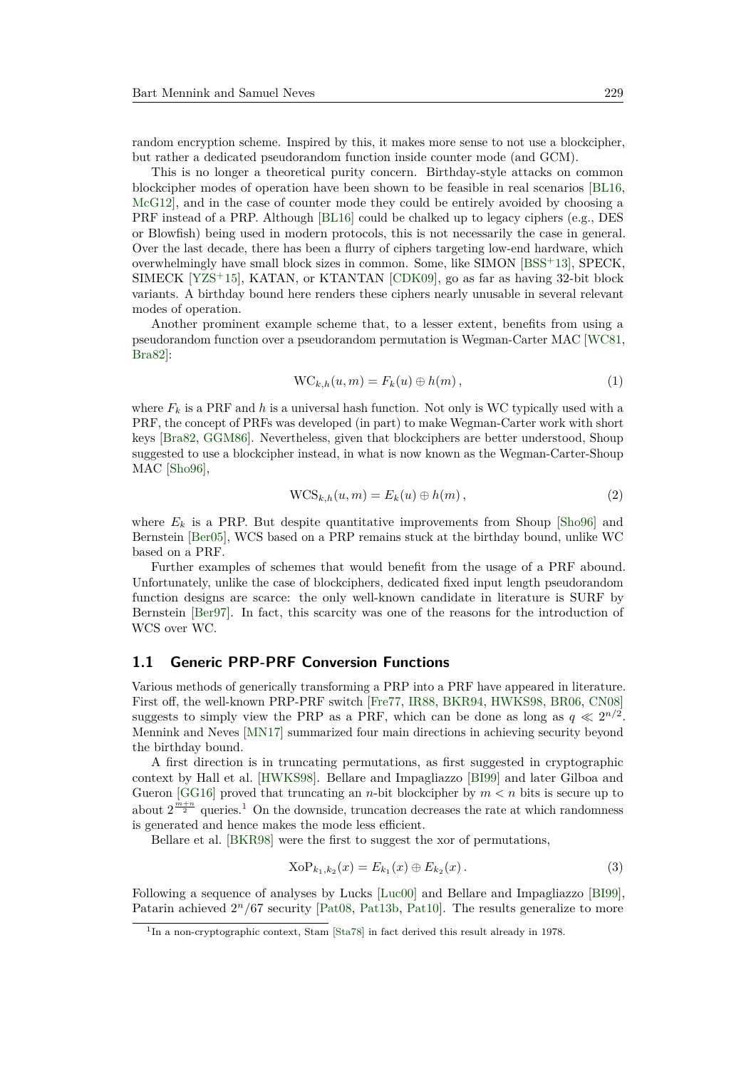random encryption scheme. Inspired by this, it makes more sense to not use a blockcipher, but rather a dedicated pseudorandom function inside counter mode (and GCM).

This is no longer a theoretical purity concern. Birthday-style attacks on common blockcipher modes of operation have been shown to be feasible in real scenarios [\[BL16,](#page-17-1) [McG12\]](#page-21-5), and in the case of counter mode they could be entirely avoided by choosing a PRF instead of a PRP. Although [\[BL16\]](#page-17-1) could be chalked up to legacy ciphers (e.g., DES or Blowfish) being used in modern protocols, this is not necessarily the case in general. Over the last decade, there has been a flurry of ciphers targeting low-end hardware, which overwhelmingly have small block sizes in common. Some, like SIMON [\[BSS](#page-17-2)<sup>+</sup>13], SPECK, SIMECK [\[YZS](#page-23-2)<sup>+</sup>15], KATAN, or KTANTAN [\[CDK09\]](#page-17-3), go as far as having 32-bit block variants. A birthday bound here renders these ciphers nearly unusable in several relevant modes of operation.

Another prominent example scheme that, to a lesser extent, benefits from using a pseudorandom function over a pseudorandom permutation is Wegman-Carter MAC [\[WC81,](#page-23-3) [Bra82\]](#page-17-4):

$$
WC_{k,h}(u,m) = F_k(u) \oplus h(m), \qquad (1)
$$

where  $F_k$  is a PRF and  $h$  is a universal hash function. Not only is WC typically used with a PRF, the concept of PRFs was developed (in part) to make Wegman-Carter work with short keys [\[Bra82,](#page-17-4) [GGM86\]](#page-19-0). Nevertheless, given that blockciphers are better understood, Shoup suggested to use a blockcipher instead, in what is now known as the Wegman-Carter-Shoup MAC [\[Sho96\]](#page-23-4),

$$
WCS_{k,h}(u,m) = E_k(u) \oplus h(m), \qquad (2)
$$

where  $E_k$  is a PRP. But despite quantitative improvements from Shoup [\[Sho96\]](#page-23-4) and Bernstein [\[Ber05\]](#page-16-3), WCS based on a PRP remains stuck at the birthday bound, unlike WC based on a PRF.

Further examples of schemes that would benefit from the usage of a PRF abound. Unfortunately, unlike the case of blockciphers, dedicated fixed input length pseudorandom function designs are scarce: the only well-known candidate in literature is SURF by Bernstein [\[Ber97\]](#page-16-4). In fact, this scarcity was one of the reasons for the introduction of WCS over WC.

#### <span id="page-1-1"></span>**1.1 Generic PRP-PRF Conversion Functions**

Various methods of generically transforming a PRP into a PRF have appeared in literature. First off, the well-known PRP-PRF switch [\[Fre77,](#page-19-1) [IR88,](#page-20-2) [BKR94,](#page-17-5) [HWKS98,](#page-20-3) [BR06,](#page-17-6) [CN08\]](#page-18-4) suggests to simply view the PRP as a PRF, which can be done as long as  $q \ll 2^{n/2}$ . Mennink and Neves [\[MN17\]](#page-21-6) summarized four main directions in achieving security beyond the birthday bound.

A first direction is in truncating permutations, as first suggested in cryptographic context by Hall et al. [\[HWKS98\]](#page-20-3). Bellare and Impagliazzo [\[BI99\]](#page-16-5) and later Gilboa and Gueron [\[GG16\]](#page-19-2) proved that truncating an *n*-bit blockcipher by  $m < n$  bits is secure up to about  $2^{\frac{m+n}{2}}$  queries.<sup>[1](#page-1-0)</sup> On the downside, truncation decreases the rate at which randomness is generated and hence makes the mode less efficient.

Bellare et al. [\[BKR98\]](#page-17-7) were the first to suggest the xor of permutations,

$$
XoP_{k_1,k_2}(x) = E_{k_1}(x) \oplus E_{k_2}(x).
$$
 (3)

Following a sequence of analyses by Lucks [\[Luc00\]](#page-21-7) and Bellare and Impagliazzo [\[BI99\]](#page-16-5), Patarin achieved  $2^n/67$  security [\[Pat08,](#page-22-2) [Pat13b,](#page-22-3) [Pat10\]](#page-22-4). The results generalize to more

<span id="page-1-0"></span><sup>&</sup>lt;sup>1</sup>In a non-cryptographic context, Stam [\[Sta78\]](#page-23-5) in fact derived this result already in 1978.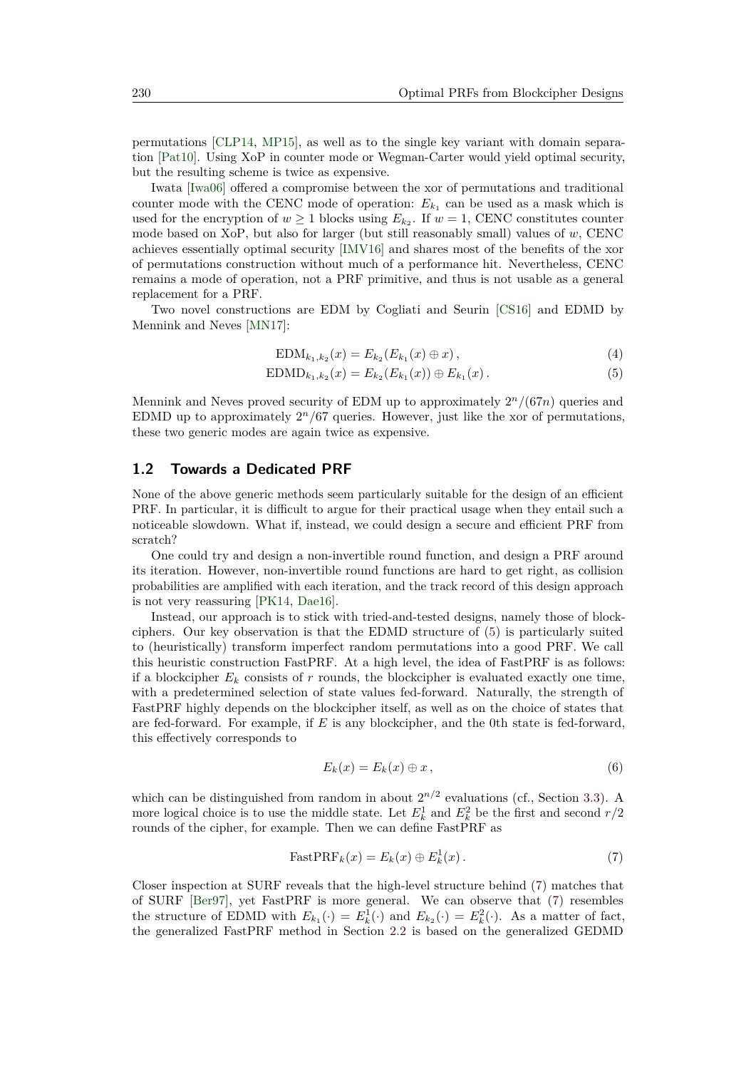permutations [\[CLP14,](#page-18-5) [MP15\]](#page-22-5), as well as to the single key variant with domain separation [\[Pat10\]](#page-22-4). Using XoP in counter mode or Wegman-Carter would yield optimal security, but the resulting scheme is twice as expensive.

Iwata [\[Iwa06\]](#page-20-4) offered a compromise between the xor of permutations and traditional counter mode with the CENC mode of operation:  $E_{k_1}$  can be used as a mask which is used for the encryption of  $w \ge 1$  blocks using  $E_{k_2}$ . If  $w = 1$ , CENC constitutes counter mode based on XoP, but also for larger (but still reasonably small) values of *w*, CENC achieves essentially optimal security [\[IMV16\]](#page-20-5) and shares most of the benefits of the xor of permutations construction without much of a performance hit. Nevertheless, CENC remains a mode of operation, not a PRF primitive, and thus is not usable as a general replacement for a PRF.

Two novel constructions are EDM by Cogliati and Seurin [\[CS16\]](#page-18-6) and EDMD by Mennink and Neves [\[MN17\]](#page-21-6):

<span id="page-2-0"></span>
$$
EDM_{k_1,k_2}(x) = E_{k_2}(E_{k_1}(x) \oplus x), \qquad (4)
$$

$$
EDMD_{k_1,k_2}(x) = E_{k_2}(E_{k_1}(x)) \oplus E_{k_1}(x).
$$
 (5)

Mennink and Neves proved security of EDM up to approximately 2 *<sup>n</sup>/*(67*n*) queries and EDMD up to approximately  $2<sup>n</sup>/67$  queries. However, just like the xor of permutations, these two generic modes are again twice as expensive.

#### **1.2 Towards a Dedicated PRF**

None of the above generic methods seem particularly suitable for the design of an efficient PRF. In particular, it is difficult to argue for their practical usage when they entail such a noticeable slowdown. What if, instead, we could design a secure and efficient PRF from scratch?

One could try and design a non-invertible round function, and design a PRF around its iteration. However, non-invertible round functions are hard to get right, as collision probabilities are amplified with each iteration, and the track record of this design approach is not very reassuring [\[PK14,](#page-22-6) [Dae16\]](#page-18-7).

Instead, our approach is to stick with tried-and-tested designs, namely those of blockciphers. Our key observation is that the EDMD structure of [\(5\)](#page-2-0) is particularly suited to (heuristically) transform imperfect random permutations into a good PRF. We call this heuristic construction FastPRF. At a high level, the idea of FastPRF is as follows: if a blockcipher  $E_k$  consists of  $r$  rounds, the blockcipher is evaluated exactly one time, with a predetermined selection of state values fed-forward. Naturally, the strength of FastPRF highly depends on the blockcipher itself, as well as on the choice of states that are fed-forward. For example, if *E* is any blockcipher, and the 0th state is fed-forward, this effectively corresponds to

<span id="page-2-1"></span>
$$
E_k(x) = E_k(x) \oplus x \,, \tag{6}
$$

which can be distinguished from random in about  $2^{n/2}$  evaluations (cf., Section [3.3\)](#page-8-0). A more logical choice is to use the middle state. Let  $E_k^1$  and  $E_k^2$  be the first and second  $r/2$ rounds of the cipher, for example. Then we can define FastPRF as

$$
FastPRF_k(x) = E_k(x) \oplus E_k^1(x).
$$
 (7)

Closer inspection at SURF reveals that the high-level structure behind [\(7\)](#page-2-1) matches that of SURF [\[Ber97\]](#page-16-4), yet FastPRF is more general. We can observe that [\(7\)](#page-2-1) resembles the structure of EDMD with  $E_{k_1}(\cdot) = E_k^1(\cdot)$  and  $E_{k_2}(\cdot) = E_k^2(\cdot)$ . As a matter of fact, the generalized FastPRF method in Section [2.2](#page-5-0) is based on the generalized GEDMD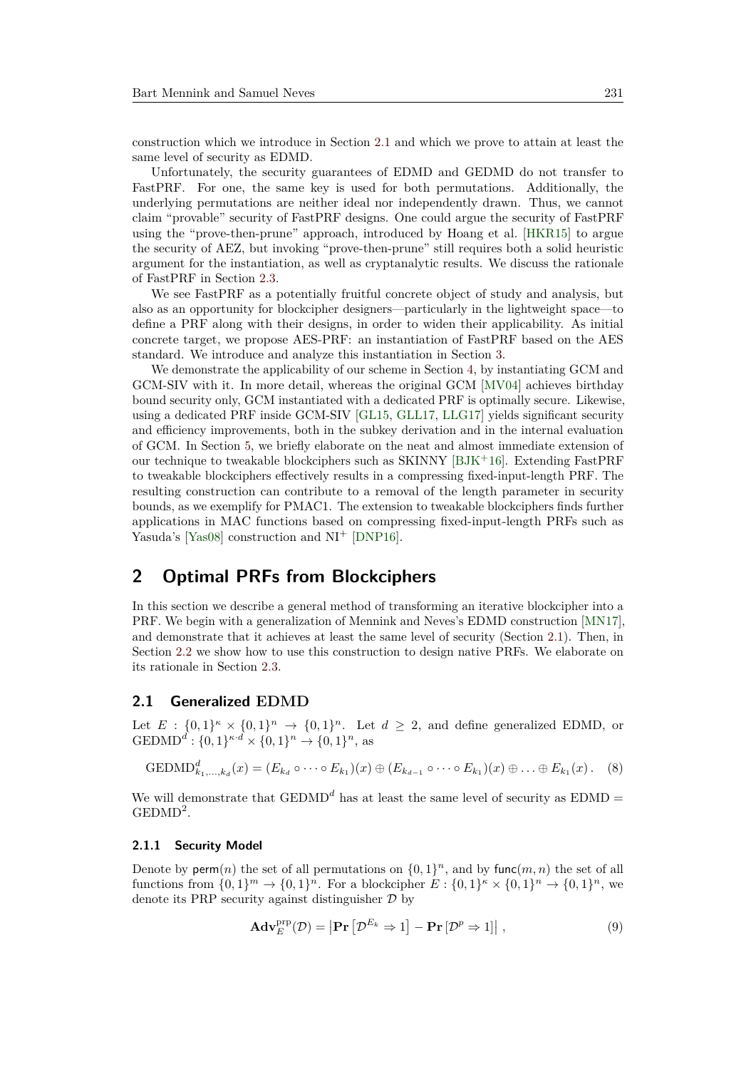construction which we introduce in Section [2.1](#page-3-0) and which we prove to attain at least the same level of security as EDMD.

Unfortunately, the security guarantees of EDMD and GEDMD do not transfer to FastPRF. For one, the same key is used for both permutations. Additionally, the underlying permutations are neither ideal nor independently drawn. Thus, we cannot claim "provable" security of FastPRF designs. One could argue the security of FastPRF using the "prove-then-prune" approach, introduced by Hoang et al. [\[HKR15\]](#page-19-3) to argue the security of AEZ, but invoking "prove-then-prune" still requires both a solid heuristic argument for the instantiation, as well as cryptanalytic results. We discuss the rationale of FastPRF in Section [2.3.](#page-5-1)

We see FastPRF as a potentially fruitful concrete object of study and analysis, but also as an opportunity for blockcipher designers—particularly in the lightweight space—to define a PRF along with their designs, in order to widen their applicability. As initial concrete target, we propose AES-PRF: an instantiation of FastPRF based on the AES standard. We introduce and analyze this instantiation in Section [3.](#page-6-0)

We demonstrate the applicability of our scheme in Section [4,](#page-10-0) by instantiating GCM and GCM-SIV with it. In more detail, whereas the original GCM [\[MV04\]](#page-22-1) achieves birthday bound security only, GCM instantiated with a dedicated PRF is optimally secure. Likewise, using a dedicated PRF inside GCM-SIV [\[GL15,](#page-19-4) [GLL17,](#page-19-5) [LLG17\]](#page-21-8) yields significant security and efficiency improvements, both in the subkey derivation and in the internal evaluation of GCM. In Section [5,](#page-14-0) we briefly elaborate on the neat and almost immediate extension of our technique to tweakable blockciphers such as SKINNY [\[BJK](#page-16-6)<sup>+</sup>16]. Extending FastPRF to tweakable blockciphers effectively results in a compressing fixed-input-length PRF. The resulting construction can contribute to a removal of the length parameter in security bounds, as we exemplify for PMAC1. The extension to tweakable blockciphers finds further applications in MAC functions based on compressing fixed-input-length PRFs such as Yasuda's [\[Yas08\]](#page-23-6) construction and NI<sup>+</sup> [\[DNP16\]](#page-18-8).

## **2 Optimal PRFs from Blockciphers**

In this section we describe a general method of transforming an iterative blockcipher into a PRF. We begin with a generalization of Mennink and Neves's EDMD construction [\[MN17\]](#page-21-6), and demonstrate that it achieves at least the same level of security (Section [2.1\)](#page-3-0). Then, in Section [2.2](#page-5-0) we show how to use this construction to design native PRFs. We elaborate on its rationale in Section [2.3.](#page-5-1)

#### <span id="page-3-0"></span>**2.1 Generalized EDMD**

Let  $E: \{0,1\}^n \times \{0,1\}^n \rightarrow \{0,1\}^n$ . Let  $d \geq 2$ , and define generalized EDMD, or  $\text{GEDMD}^d: \{0, 1\}^{\kappa \cdot d} \times \{0, 1\}^n \to \{0, 1\}^n$ , as

$$
GEDMD_{k_1,\ldots,k_d}^d(x) = (E_{k_d} \circ \cdots \circ E_{k_1})(x) \oplus (E_{k_{d-1}} \circ \cdots \circ E_{k_1})(x) \oplus \ldots \oplus E_{k_1}(x).
$$
 (8)

We will demonstrate that  $\text{GEDMD}^d$  has at least the same level of security as  $\text{EDMD} =$  $\mathrm{GEDMD}^2$ .

#### <span id="page-3-1"></span>**2.1.1 Security Model**

Denote by  $\mathsf{perm}(n)$  the set of all permutations on  $\{0,1\}^n$ , and by  $\mathsf{func}(m,n)$  the set of all functions from  $\{0,1\}^m \to \{0,1\}^n$ . For a blockcipher  $E: \{0,1\}^k \times \{0,1\}^n \to \{0,1\}^n$ , we denote its PRP security against distinguisher  $\mathcal D$  by

$$
\mathbf{Adv}_{E}^{\text{prp}}(\mathcal{D}) = \left| \mathbf{Pr}\left[ \mathcal{D}^{E_k} \Rightarrow 1 \right] - \mathbf{Pr}\left[ \mathcal{D}^p \Rightarrow 1 \right] \right|, \tag{9}
$$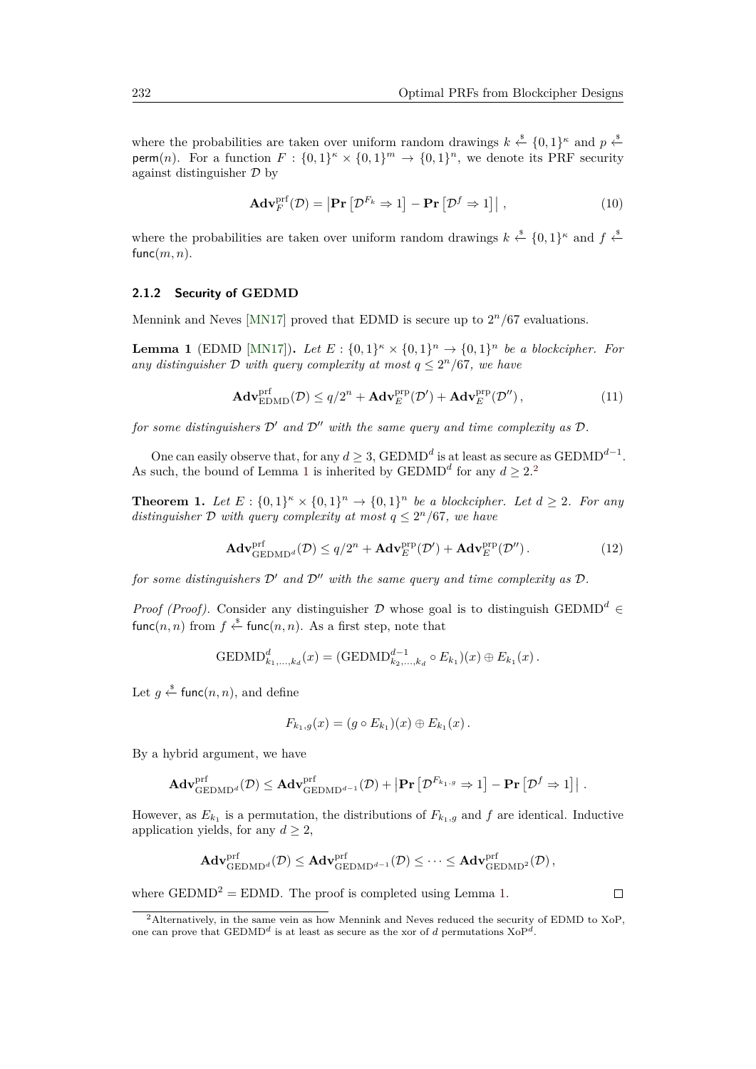where the probabilities are taken over uniform random drawings  $k \stackrel{\$}{\leftarrow} \{0,1\}^{\kappa}$  and  $p \stackrel{\$}{\leftarrow}$ perm(*n*). For a function  $F: \{0,1\}^n \times \{0,1\}^m \rightarrow \{0,1\}^n$ , we denote its PRF security against distinguisher  $\mathcal D$  by

$$
\mathbf{Adv}_{F}^{\text{prf}}(\mathcal{D}) = \left| \mathbf{Pr}\left[ \mathcal{D}^{F_{k}} \Rightarrow 1 \right] - \mathbf{Pr}\left[ \mathcal{D}^{f} \Rightarrow 1 \right] \right|, \tag{10}
$$

where the probabilities are taken over uniform random drawings  $k \stackrel{\$}{\leftarrow} \{0,1\}^{\kappa}$  and  $f \stackrel{\$}{\leftarrow}$ func $(m, n)$ .

#### **2.1.2 Security of GEDMD**

Mennink and Neves [\[MN17\]](#page-21-6) proved that EDMD is secure up to 2 *<sup>n</sup>/*67 evaluations.

<span id="page-4-0"></span>**Lemma 1** (EDMD [\[MN17\]](#page-21-6)). Let  $E: \{0,1\}^{\kappa} \times \{0,1\}^n \to \{0,1\}^n$  be a blockcipher. For *any distinguisher*  $D$  *with query complexity at most*  $q \leq 2^n/67$ *, we have* 

$$
\mathbf{Adv}_{\mathrm{EDMD}}^{\mathrm{prf}}(\mathcal{D}) \le q/2^n + \mathbf{Adv}_{E}^{\mathrm{prp}}(\mathcal{D}') + \mathbf{Adv}_{E}^{\mathrm{prp}}(\mathcal{D}''),\tag{11}
$$

*for some distinguishers*  $\mathcal{D}'$  *and*  $\mathcal{D}''$  *with the same query and time complexity as*  $\mathcal{D}$ *.* 

One can easily observe that, for any  $d \geq 3$ , GEDMD<sup>d</sup> is at least as secure as GEDMD<sup>d-1</sup>. As such, the bound of Lemma [1](#page-4-0) is inherited by GEDMD<sup>d</sup> for any  $d \geq 2$  $d \geq 2$ <sup>2</sup>

**Theorem 1.** Let  $E: \{0,1\}^n \times \{0,1\}^n \rightarrow \{0,1\}^n$  be a blockcipher. Let  $d \geq 2$ . For any *distinguisher*  $D$  *with query complexity at most*  $q \leq 2^n/67$ *, we have* 

$$
\mathbf{Adv}_{\mathrm{GEDMD}^d}^{\mathrm{prf}}(\mathcal{D}) \le q/2^n + \mathbf{Adv}_{E}^{\mathrm{prp}}(\mathcal{D}') + \mathbf{Adv}_{E}^{\mathrm{prp}}(\mathcal{D}''). \tag{12}
$$

*for some distinguishers*  $\mathcal{D}'$  *and*  $\mathcal{D}''$  *with the same query and time complexity as*  $\mathcal{D}$ *.* 

*Proof (Proof).* Consider any distinguisher D whose goal is to distinguish GEDMD<sup>d</sup> ∈  $\textsf{func}(n, n)$  from  $f \overset{\hspace{0.1em}\mathsf{\scriptscriptstyle\$}}{\leftarrow} \textsf{func}(n, n)$ . As a first step, note that

$$
GEDMD_{k_1,...,k_d}^d(x) = (GEDMD_{k_2,...,k_d}^{d-1} \circ E_{k_1})(x) \oplus E_{k_1}(x).
$$

Let  $g \overset{\hspace{0.1em}\mathsf{\scriptscriptstyle\$}}{\leftarrow}$  func $(n,n)$ , and define

$$
F_{k_1,g}(x) = (g \circ E_{k_1})(x) \oplus E_{k_1}(x).
$$

By a hybrid argument, we have

$$
\mathbf{Adv}_{\mathrm{GEDMD}^d}^{\mathrm{prf}}(\mathcal{D}) \leq \mathbf{Adv}_{\mathrm{GEDMD}^{d-1}}^{\mathrm{prf}}(\mathcal{D}) + \left| \mathbf{Pr}\left[\mathcal{D}^{F_{k_1,g}} \Rightarrow 1 \right] - \mathbf{Pr}\left[\mathcal{D}^f \Rightarrow 1 \right] \right|.
$$

However, as  $E_{k_1}$  is a permutation, the distributions of  $F_{k_1,g}$  and  $f$  are identical. Inductive application yields, for any  $d \geq 2$ ,

$$
\mathbf{Adv}_{\mathrm{GEDMD}^{aff}}^{\mathrm{prf}}(\mathcal{D}) \leq \mathbf{Adv}_{\mathrm{GEDMD}^{d-1}}^{\mathrm{prf}}(\mathcal{D}) \leq \cdots \leq \mathbf{Adv}_{\mathrm{GEDMD}^{prf}}^{\mathrm{prf}}(\mathcal{D}),
$$

where  $\text{GEDMD}^2 = \text{EDMD}$ . The proof is completed using Lemma [1.](#page-4-0)

 $\Box$ 

<span id="page-4-1"></span><sup>2</sup>Alternatively, in the same vein as how Mennink and Neves reduced the security of EDMD to XoP, one can prove that  $\text{GEDMD}^d$  is at least as secure as the xor of *d* permutations  $\text{XoP}^d$ .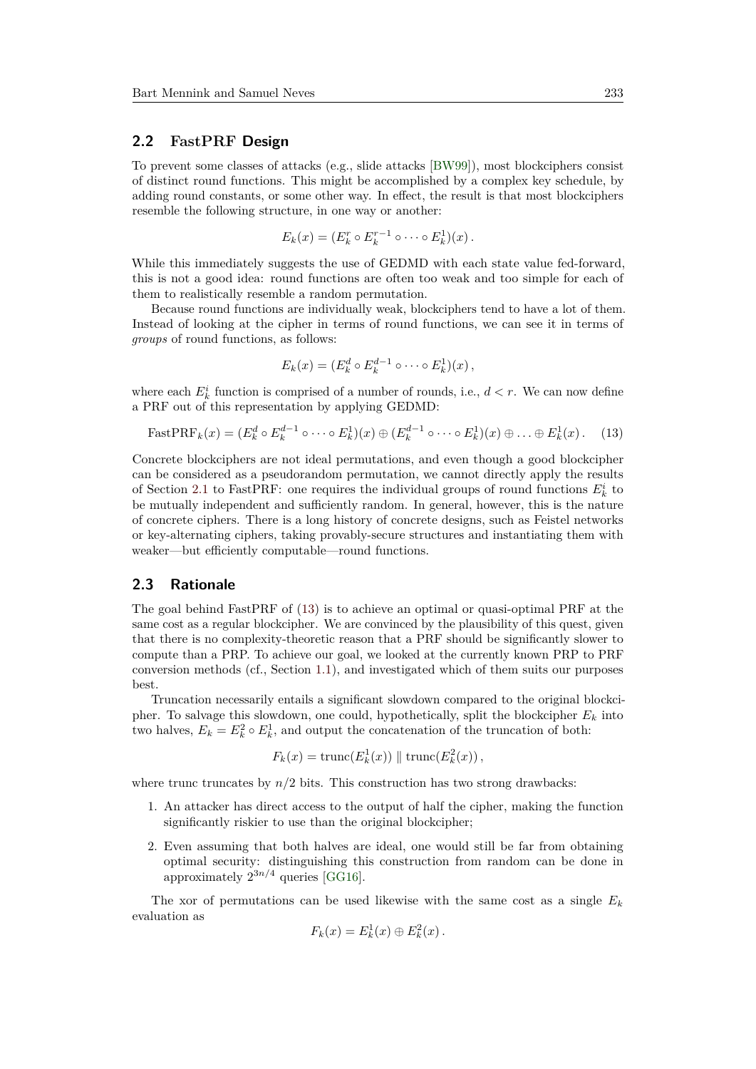#### <span id="page-5-0"></span>**2.2 FastPRF Design**

To prevent some classes of attacks (e.g., slide attacks [\[BW99\]](#page-17-8)), most blockciphers consist of distinct round functions. This might be accomplished by a complex key schedule, by adding round constants, or some other way. In effect, the result is that most blockciphers resemble the following structure, in one way or another:

$$
E_k(x) = (E_k^r \circ E_k^{r-1} \circ \cdots \circ E_k^1)(x).
$$

While this immediately suggests the use of GEDMD with each state value fed-forward, this is not a good idea: round functions are often too weak and too simple for each of them to realistically resemble a random permutation.

Because round functions are individually weak, blockciphers tend to have a lot of them. Instead of looking at the cipher in terms of round functions, we can see it in terms of *groups* of round functions, as follows:

<span id="page-5-2"></span>
$$
E_k(x) = (E_k^d \circ E_k^{d-1} \circ \cdots \circ E_k^1)(x),
$$

where each  $E_k^i$  function is comprised of a number of rounds, i.e.,  $d < r$ . We can now define a PRF out of this representation by applying GEDMD:

FastPRF<sub>k</sub>(x) = 
$$
(E_k^d \circ E_k^{d-1} \circ \cdots \circ E_k^1)(x) \oplus (E_k^{d-1} \circ \cdots \circ E_k^1)(x) \oplus \ldots \oplus E_k^1(x)
$$
. (13)

Concrete blockciphers are not ideal permutations, and even though a good blockcipher can be considered as a pseudorandom permutation, we cannot directly apply the results of Section [2.1](#page-3-0) to FastPRF: one requires the individual groups of round functions  $E_k^i$  to be mutually independent and sufficiently random. In general, however, this is the nature of concrete ciphers. There is a long history of concrete designs, such as Feistel networks or key-alternating ciphers, taking provably-secure structures and instantiating them with weaker—but efficiently computable—round functions.

#### <span id="page-5-1"></span>**2.3 Rationale**

The goal behind FastPRF of [\(13\)](#page-5-2) is to achieve an optimal or quasi-optimal PRF at the same cost as a regular blockcipher. We are convinced by the plausibility of this quest, given that there is no complexity-theoretic reason that a PRF should be significantly slower to compute than a PRP. To achieve our goal, we looked at the currently known PRP to PRF conversion methods (cf., Section [1.1\)](#page-1-1), and investigated which of them suits our purposes best.

Truncation necessarily entails a significant slowdown compared to the original blockcipher. To salvage this slowdown, one could, hypothetically, split the blockcipher *E<sup>k</sup>* into two halves,  $E_k = E_k^2 \circ E_k^1$ , and output the concatenation of the truncation of both:

$$
F_k(x) = \text{trunc}(E_k^1(x)) \parallel \text{trunc}(E_k^2(x)),
$$

where trunc truncates by  $n/2$  bits. This construction has two strong drawbacks:

- 1. An attacker has direct access to the output of half the cipher, making the function significantly riskier to use than the original blockcipher;
- 2. Even assuming that both halves are ideal, one would still be far from obtaining optimal security: distinguishing this construction from random can be done in approximately  $2^{3n/4}$  queries [\[GG16\]](#page-19-2).

The xor of permutations can be used likewise with the same cost as a single  $E_k$ evaluation as

$$
F_k(x) = E_k^1(x) \oplus E_k^2(x).
$$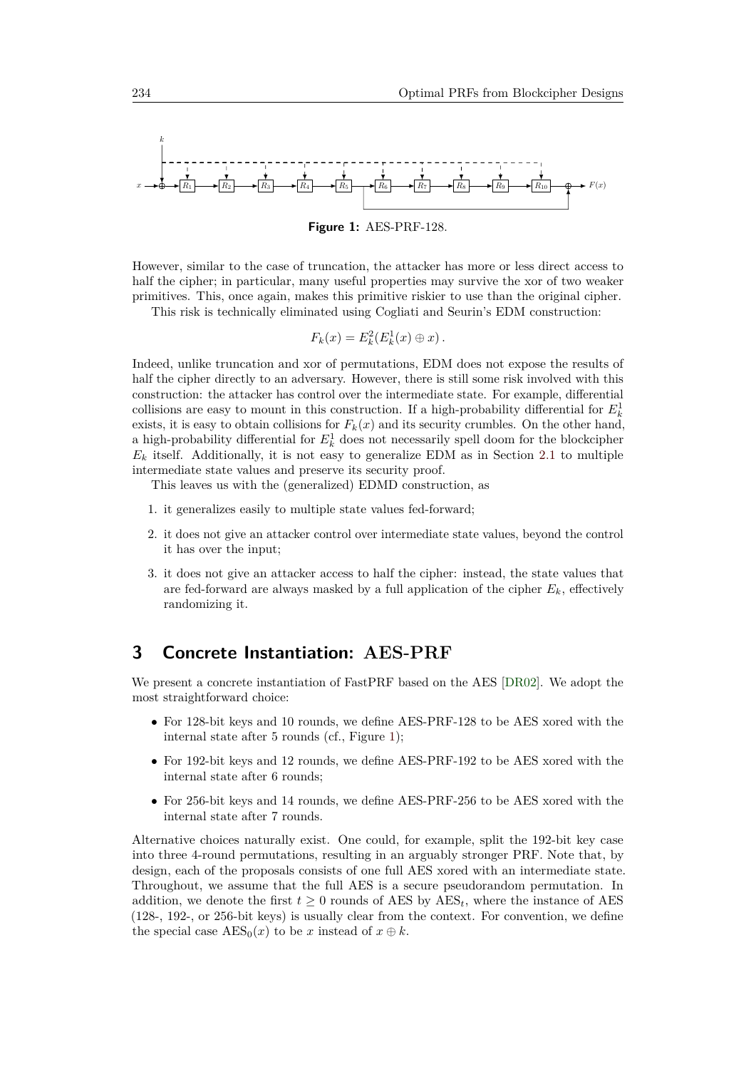<span id="page-6-1"></span>

**Figure 1:** AES-PRF-128.

However, similar to the case of truncation, the attacker has more or less direct access to half the cipher; in particular, many useful properties may survive the xor of two weaker primitives. This, once again, makes this primitive riskier to use than the original cipher.

This risk is technically eliminated using Cogliati and Seurin's EDM construction:

$$
F_k(x) = E_k^2(E_k^1(x) \oplus x).
$$

Indeed, unlike truncation and xor of permutations, EDM does not expose the results of half the cipher directly to an adversary. However, there is still some risk involved with this construction: the attacker has control over the intermediate state. For example, differential collisions are easy to mount in this construction. If a high-probability differential for  $E_k^1$ exists, it is easy to obtain collisions for  $F_k(x)$  and its security crumbles. On the other hand, a high-probability differential for  $E_k^1$  does not necessarily spell doom for the blockcipher  $E_k$  itself. Additionally, it is not easy to generalize EDM as in Section [2.1](#page-3-0) to multiple intermediate state values and preserve its security proof.

This leaves us with the (generalized) EDMD construction, as

- 1. it generalizes easily to multiple state values fed-forward;
- 2. it does not give an attacker control over intermediate state values, beyond the control it has over the input;
- 3. it does not give an attacker access to half the cipher: instead, the state values that are fed-forward are always masked by a full application of the cipher *Ek*, effectively randomizing it.

### <span id="page-6-0"></span>**3 Concrete Instantiation: AES-PRF**

We present a concrete instantiation of FastPRF based on the AES [\[DR02\]](#page-18-0). We adopt the most straightforward choice:

- For 128-bit keys and 10 rounds, we define AES-PRF-128 to be AES xored with the internal state after 5 rounds (cf., Figure [1\)](#page-6-1);
- For 192-bit keys and 12 rounds, we define AES-PRF-192 to be AES xored with the internal state after 6 rounds;
- For 256-bit keys and 14 rounds, we define AES-PRF-256 to be AES xored with the internal state after 7 rounds.

Alternative choices naturally exist. One could, for example, split the 192-bit key case into three 4-round permutations, resulting in an arguably stronger PRF. Note that, by design, each of the proposals consists of one full AES xored with an intermediate state. Throughout, we assume that the full AES is a secure pseudorandom permutation. In addition, we denote the first  $t \geq 0$  rounds of AES by  $\text{AES}_t$ , where the instance of AES (128-, 192-, or 256-bit keys) is usually clear from the context. For convention, we define the special case  $\text{AES}_0(x)$  to be *x* instead of  $x \oplus k$ .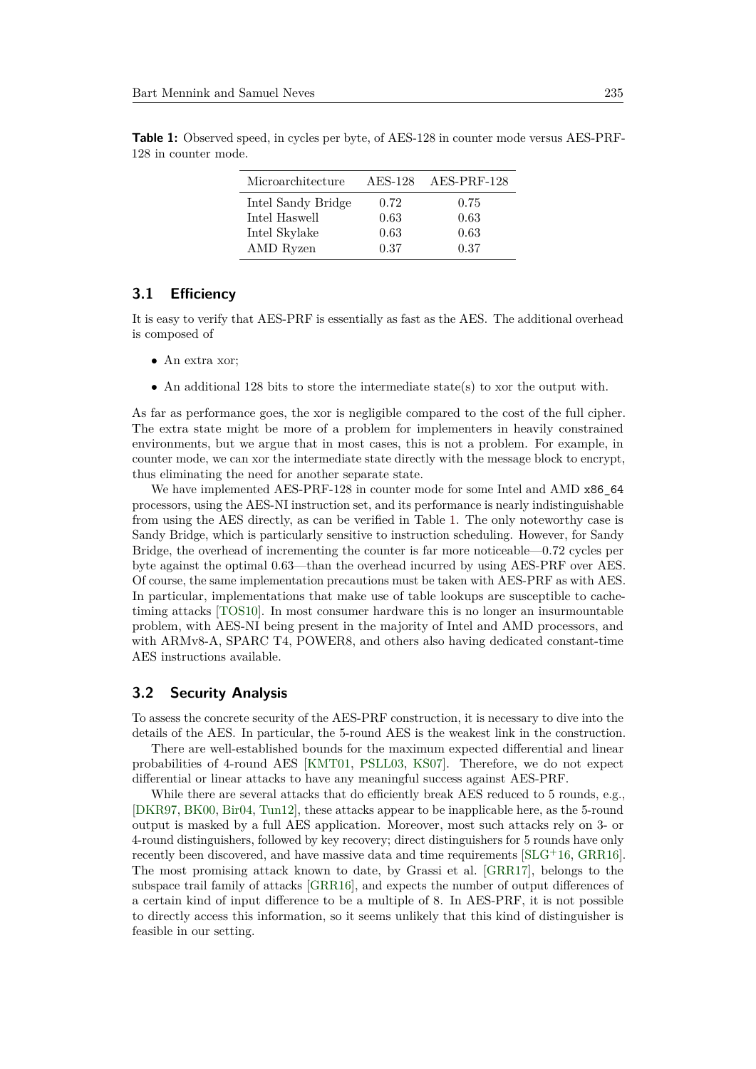| Microarchitecture  |      | AES-128 AES-PRF-128 |
|--------------------|------|---------------------|
| Intel Sandy Bridge | 0.72 | 0.75                |
| Intel Haswell      | 0.63 | 0.63                |
| Intel Skylake      | 0.63 | 0.63                |
| AMD Ryzen          | 0.37 | 0.37                |

<span id="page-7-0"></span>**Table 1:** Observed speed, in cycles per byte, of AES-128 in counter mode versus AES-PRF-128 in counter mode.

#### **3.1 Efficiency**

It is easy to verify that AES-PRF is essentially as fast as the AES. The additional overhead is composed of

- An extra xor;
- An additional 128 bits to store the intermediate state(s) to xor the output with.

As far as performance goes, the xor is negligible compared to the cost of the full cipher. The extra state might be more of a problem for implementers in heavily constrained environments, but we argue that in most cases, this is not a problem. For example, in counter mode, we can xor the intermediate state directly with the message block to encrypt, thus eliminating the need for another separate state.

We have implemented AES-PRF-128 in counter mode for some Intel and AMD x86\_64 processors, using the AES-NI instruction set, and its performance is nearly indistinguishable from using the AES directly, as can be verified in Table [1.](#page-7-0) The only noteworthy case is Sandy Bridge, which is particularly sensitive to instruction scheduling. However, for Sandy Bridge, the overhead of incrementing the counter is far more noticeable—0.72 cycles per byte against the optimal 0.63—than the overhead incurred by using AES-PRF over AES. Of course, the same implementation precautions must be taken with AES-PRF as with AES. In particular, implementations that make use of table lookups are susceptible to cachetiming attacks [\[TOS10\]](#page-23-7). In most consumer hardware this is no longer an insurmountable problem, with AES-NI being present in the majority of Intel and AMD processors, and with ARMv8-A, SPARC T4, POWER8, and others also having dedicated constant-time AES instructions available.

#### **3.2 Security Analysis**

To assess the concrete security of the AES-PRF construction, it is necessary to dive into the details of the AES. In particular, the 5-round AES is the weakest link in the construction.

There are well-established bounds for the maximum expected differential and linear probabilities of 4-round AES [\[KMT01,](#page-20-6) [PSLL03,](#page-22-7) [KS07\]](#page-21-9). Therefore, we do not expect differential or linear attacks to have any meaningful success against AES-PRF.

While there are several attacks that do efficiently break AES reduced to 5 rounds, e.g., [\[DKR97,](#page-18-2) [BK00,](#page-17-9) [Bir04,](#page-16-7) [Tun12\]](#page-23-8), these attacks appear to be inapplicable here, as the 5-round output is masked by a full AES application. Moreover, most such attacks rely on 3- or 4-round distinguishers, followed by key recovery; direct distinguishers for 5 rounds have only recently been discovered, and have massive data and time requirements [\[SLG](#page-23-9)<sup>+</sup>16, [GRR16\]](#page-19-6). The most promising attack known to date, by Grassi et al. [\[GRR17\]](#page-19-7), belongs to the subspace trail family of attacks [\[GRR16\]](#page-19-6), and expects the number of output differences of a certain kind of input difference to be a multiple of 8. In AES-PRF, it is not possible to directly access this information, so it seems unlikely that this kind of distinguisher is feasible in our setting.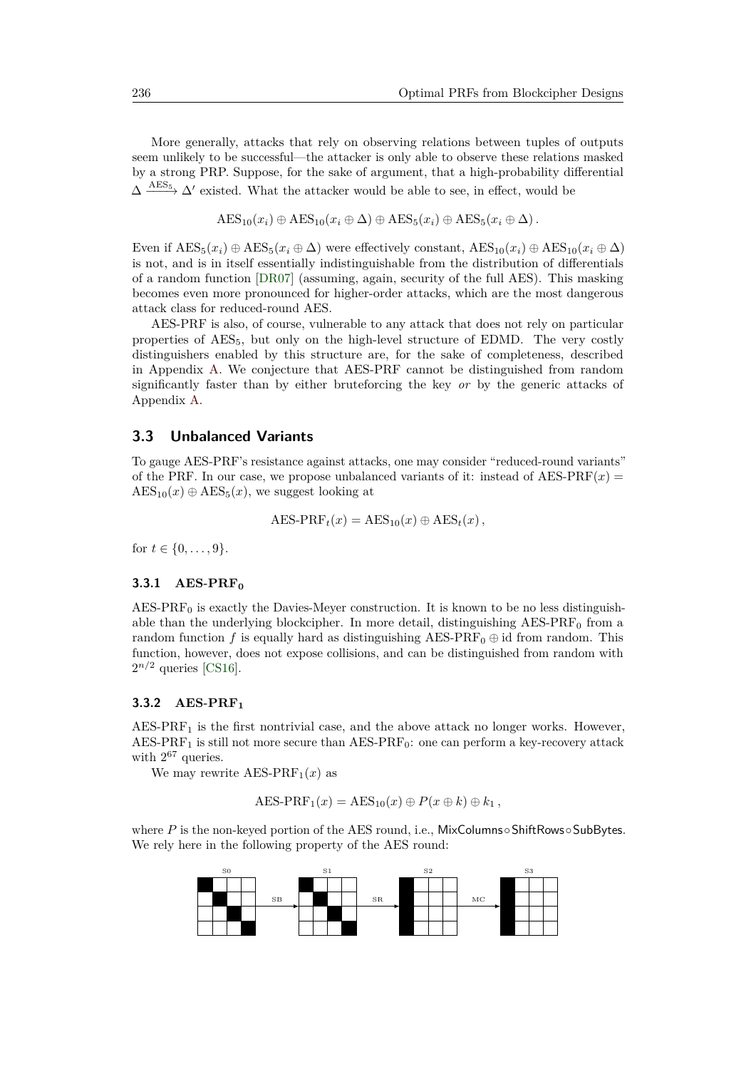More generally, attacks that rely on observing relations between tuples of outputs seem unlikely to be successful—the attacker is only able to observe these relations masked by a strong PRP. Suppose, for the sake of argument, that a high-probability differential  $\Delta \stackrel{\text{AES}_5}{\longrightarrow} \Delta'$  existed. What the attacker would be able to see, in effect, would be

 $\text{AES}_{10}(x_i) \oplus \text{AES}_{10}(x_i \oplus \Delta) \oplus \text{AES}_{5}(x_i) \oplus \text{AES}_{5}(x_i \oplus \Delta).$ 

Even if  $\text{AES}_5(x_i) \oplus \text{AES}_5(x_i \oplus \Delta)$  were effectively constant,  $\text{AES}_{10}(x_i) \oplus \text{AES}_{10}(x_i \oplus \Delta)$ is not, and is in itself essentially indistinguishable from the distribution of differentials of a random function [\[DR07\]](#page-19-8) (assuming, again, security of the full AES). This masking becomes even more pronounced for higher-order attacks, which are the most dangerous attack class for reduced-round AES.

AES-PRF is also, of course, vulnerable to any attack that does not rely on particular properties of AES<sub>5</sub>, but only on the high-level structure of EDMD. The very costly distinguishers enabled by this structure are, for the sake of completeness, described in Appendix [A.](#page-24-0) We conjecture that AES-PRF cannot be distinguished from random significantly faster than by either bruteforcing the key *or* by the generic attacks of Appendix [A.](#page-24-0)

#### <span id="page-8-0"></span>**3.3 Unbalanced Variants**

To gauge AES-PRF's resistance against attacks, one may consider "reduced-round variants" of the PRF. In our case, we propose unbalanced variants of it: instead of AES-PRF $(x)$  =  $\text{AES}_{10}(x) \oplus \text{AES}_{5}(x)$ , we suggest looking at

$$
AES\text{-}PRF_t(x) = AES_{10}(x) \oplus AES_t(x),
$$

for  $t \in \{0, \ldots, 9\}.$ 

#### **3.3.1 AES-PRF<sup>0</sup>**

 $AES-PRF<sub>0</sub>$  is exactly the Davies-Meyer construction. It is known to be no less distinguishable than the underlying blockcipher. In more detail, distinguishing  $AES-PRF<sub>0</sub>$  from a random function *f* is equally hard as distinguishing AES-PRF<sub>0</sub>  $\oplus$  id from random. This function, however, does not expose collisions, and can be distinguished from random with  $2^{n/2}$  queries [\[CS16\]](#page-18-6).

#### **3.3.2 AES-PRF<sup>1</sup>**

 $AES-PRF<sub>1</sub>$  is the first nontrivial case, and the above attack no longer works. However, AES-PRF<sub>1</sub> is still not more secure than AES-PRF<sub>0</sub>: one can perform a key-recovery attack with  $2^{67}$  queries.

We may rewrite  $\text{AES-PRF}_1(x)$  as

$$
AES-PRF_1(x) = AES_{10}(x) \oplus P(x \oplus k) \oplus k_1,
$$

where *P* is the non-keyed portion of the AES round, i.e., MixColumns∘ShiftRows∘SubBytes. We rely here in the following property of the AES round:

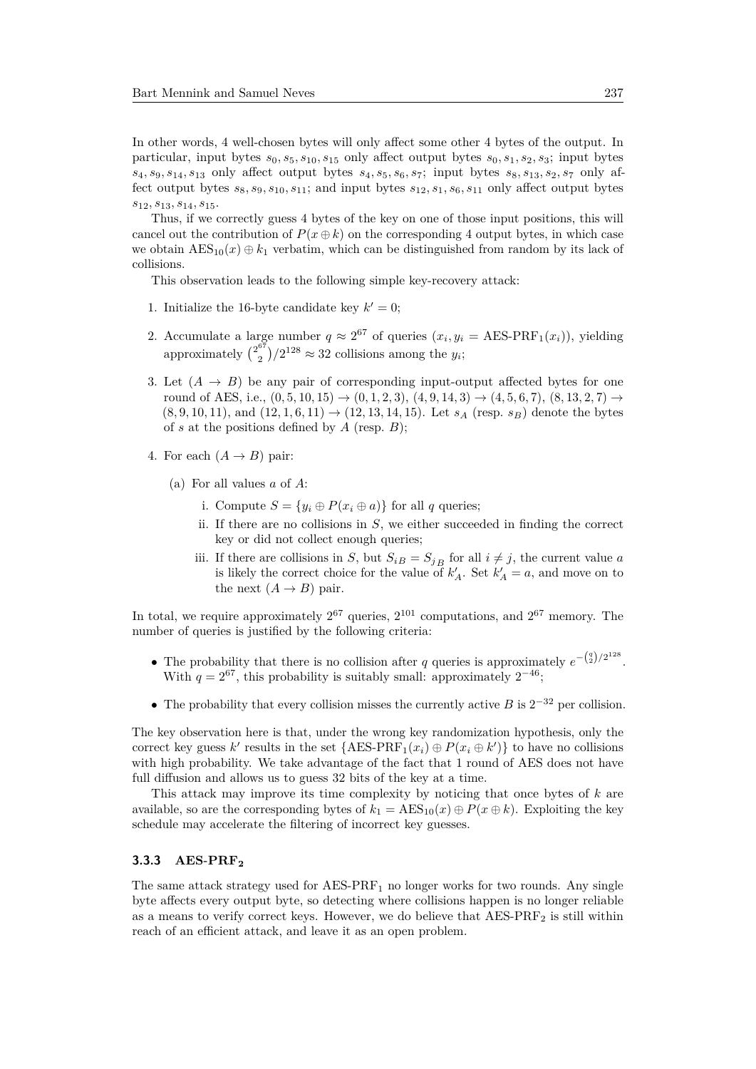In other words, 4 well-chosen bytes will only affect some other 4 bytes of the output. In particular, input bytes  $s_0$ ,  $s_5$ ,  $s_{10}$ ,  $s_{15}$  only affect output bytes  $s_0$ ,  $s_1$ ,  $s_2$ ,  $s_3$ ; input bytes *s*4*, s*9*, s*14*, s*<sup>13</sup> only affect output bytes *s*4*, s*5*, s*6*, s*7; input bytes *s*8*, s*13*, s*2*, s*<sup>7</sup> only affect output bytes  $s_8, s_9, s_{10}, s_{11}$ ; and input bytes  $s_{12}, s_1, s_6, s_{11}$  only affect output bytes *s*12*, s*13*, s*14*, s*15.

Thus, if we correctly guess 4 bytes of the key on one of those input positions, this will cancel out the contribution of  $P(x \oplus k)$  on the corresponding 4 output bytes, in which case we obtain  $\text{AES}_{10}(x) \oplus k_1$  verbatim, which can be distinguished from random by its lack of collisions.

This observation leads to the following simple key-recovery attack:

- 1. Initialize the 16-byte candidate key  $k' = 0$ ;
- 2. Accumulate a large number  $q \approx 2^{67}$  of queries  $(x_i, y_i = \text{AES-PRF}_1(x_i))$ , yielding approximately  $\binom{2^{67}}{2}$  $\binom{3}{2}/2^{128} \approx 32$  collisions among the *y<sub>i</sub>*;
- 3. Let  $(A \rightarrow B)$  be any pair of corresponding input-output affected bytes for one round of AES, i.e.,  $(0, 5, 10, 15) \rightarrow (0, 1, 2, 3), (4, 9, 14, 3) \rightarrow (4, 5, 6, 7), (8, 13, 2, 7) \rightarrow$  $(8, 9, 10, 11)$ , and  $(12, 1, 6, 11) \rightarrow (12, 13, 14, 15)$ . Let  $s_A$  (resp.  $s_B$ ) denote the bytes of *s* at the positions defined by *A* (resp. *B*);
- 4. For each  $(A \rightarrow B)$  pair:
	- (a) For all values *a* of *A*:
		- i. Compute  $S = \{y_i \oplus P(x_i \oplus a)\}\$ for all *q* queries;
		- ii. If there are no collisions in *S*, we either succeeded in finding the correct key or did not collect enough queries;
		- iii. If there are collisions in *S*, but  $S_{iB} = S_{jB}$  for all  $i \neq j$ , the current value *a* is likely the correct choice for the value of  $k'_{A}$ . Set  $k'_{A} = a$ , and move on to the next  $(A \rightarrow B)$  pair.

In total, we require approximately  $2^{67}$  queries,  $2^{101}$  computations, and  $2^{67}$  memory. The number of queries is justified by the following criteria:

- The probability that there is no collision after *q* queries is approximately  $e^{-\binom{q}{2}/2^{128}}$ . With  $q = 2^{67}$ , this probability is suitably small: approximately  $2^{-46}$ ;
- The probability that every collision misses the currently active *B* is  $2^{-32}$  per collision.

The key observation here is that, under the wrong key randomization hypothesis, only the correct key guess  $k'$  results in the set  ${AES-PRF_1(x_i) \oplus P(x_i \oplus k')}$  to have no collisions with high probability. We take advantage of the fact that 1 round of AES does not have full diffusion and allows us to guess 32 bits of the key at a time.

This attack may improve its time complexity by noticing that once bytes of *k* are available, so are the corresponding bytes of  $k_1 = \text{AES}_{10}(x) \oplus P(x \oplus k)$ . Exploiting the key schedule may accelerate the filtering of incorrect key guesses.

#### **3.3.3 AES-PRF<sup>2</sup>**

The same attack strategy used for  $AES-PRF<sub>1</sub>$  no longer works for two rounds. Any single byte affects every output byte, so detecting where collisions happen is no longer reliable as a means to verify correct keys. However, we do believe that  $\text{AES-PRF}_2$  is still within reach of an efficient attack, and leave it as an open problem.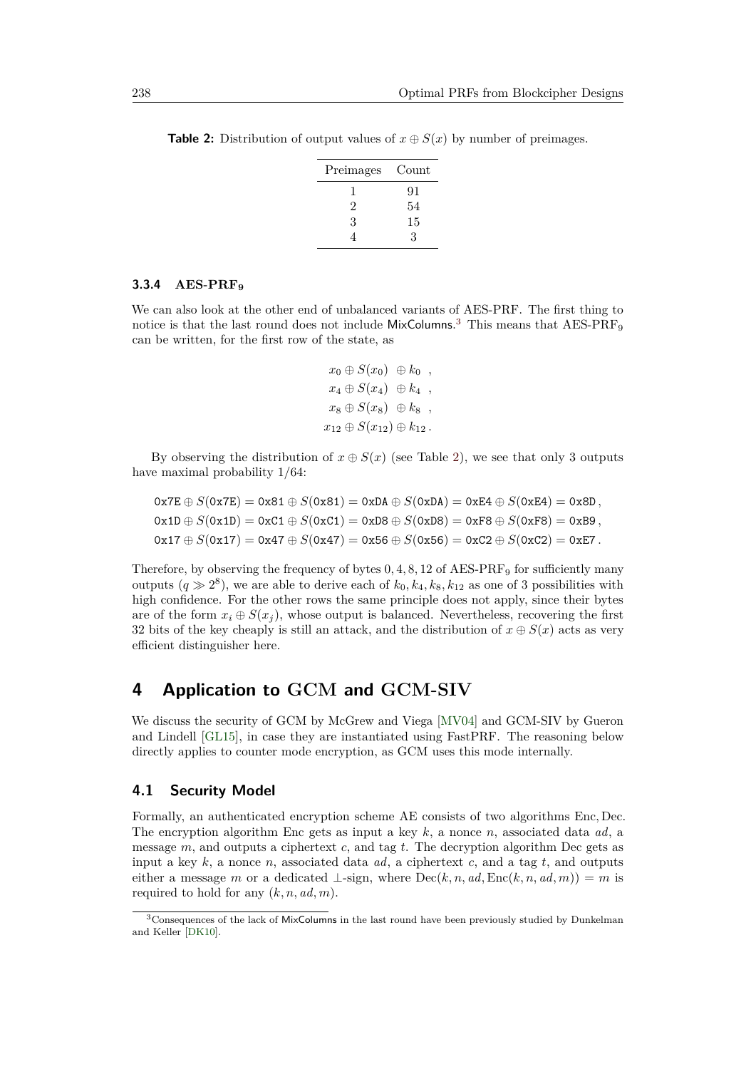| Preimages | Count |
|-----------|-------|
|           | 91    |
| 2         | 54    |
| 3         | 15    |
| 4         | 3     |

<span id="page-10-2"></span>**Table 2:** Distribution of output values of  $x \oplus S(x)$  by number of preimages.

#### **3.3.4 AES-PRF<sup>9</sup>**

We can also look at the other end of unbalanced variants of AES-PRF. The first thing to notice is that the last round does not include  $MixColumns^3$  $MixColumns^3$  This means that  $AES-PRF_9$ can be written, for the first row of the state, as

> $x_0 \oplus S(x_0) \oplus k_0$ ,  $x_4 \oplus S(x_4) \oplus k_4$  $x_8 \oplus S(x_8) \oplus k_8$ ,  $x_{12} \oplus S(x_{12}) \oplus k_{12}$ .

By observing the distribution of  $x \oplus S(x)$  (see Table [2\)](#page-10-2), we see that only 3 outputs have maximal probability 1*/*64:

$$
0x7E \oplus S(0x7E) = 0x81 \oplus S(0x81) = 0xDA \oplus S(0xDA) = 0xE4 \oplus S(0xE4) = 0x80,
$$
  
\n
$$
0x1D \oplus S(0x1D) = 0xC1 \oplus S(0xC1) = 0xD8 \oplus S(0xD8) = 0xF8 \oplus S(0xF8) = 0xB9,
$$
  
\n
$$
0x17 \oplus S(0x17) = 0x47 \oplus S(0x47) = 0x56 \oplus S(0x56) = 0xC2 \oplus S(0xC2) = 0xE7.
$$

Therefore, by observing the frequency of bytes  $0, 4, 8, 12$  of AES-PRF<sub>9</sub> for sufficiently many outputs  $(q \gg 2^8)$ , we are able to derive each of  $k_0, k_4, k_8, k_{12}$  as one of 3 possibilities with high confidence. For the other rows the same principle does not apply, since their bytes are of the form  $x_i \oplus S(x_i)$ , whose output is balanced. Nevertheless, recovering the first 32 bits of the key cheaply is still an attack, and the distribution of  $x \oplus S(x)$  acts as very efficient distinguisher here.

## <span id="page-10-0"></span>**4 Application to GCM and GCM-SIV**

We discuss the security of GCM by McGrew and Viega [\[MV04\]](#page-22-1) and GCM-SIV by Gueron and Lindell [\[GL15\]](#page-19-4), in case they are instantiated using FastPRF. The reasoning below directly applies to counter mode encryption, as GCM uses this mode internally.

#### **4.1 Security Model**

Formally, an authenticated encryption scheme AE consists of two algorithms Enc*,* Dec. The encryption algorithm Enc gets as input a key *k*, a nonce *n*, associated data *ad*, a message *m*, and outputs a ciphertext *c*, and tag *t*. The decryption algorithm Dec gets as input a key *k*, a nonce *n*, associated data *ad*, a ciphertext *c*, and a tag *t*, and outputs either a message *m* or a dedicated  $\bot$ -sign, where  $Dec(k, n, ad, Enc(k, n, ad, m)) = m$  is required to hold for any  $(k, n, ad, m)$ .

<span id="page-10-1"></span><sup>3</sup>Consequences of the lack of MixColumns in the last round have been previously studied by Dunkelman and Keller [\[DK10\]](#page-18-9).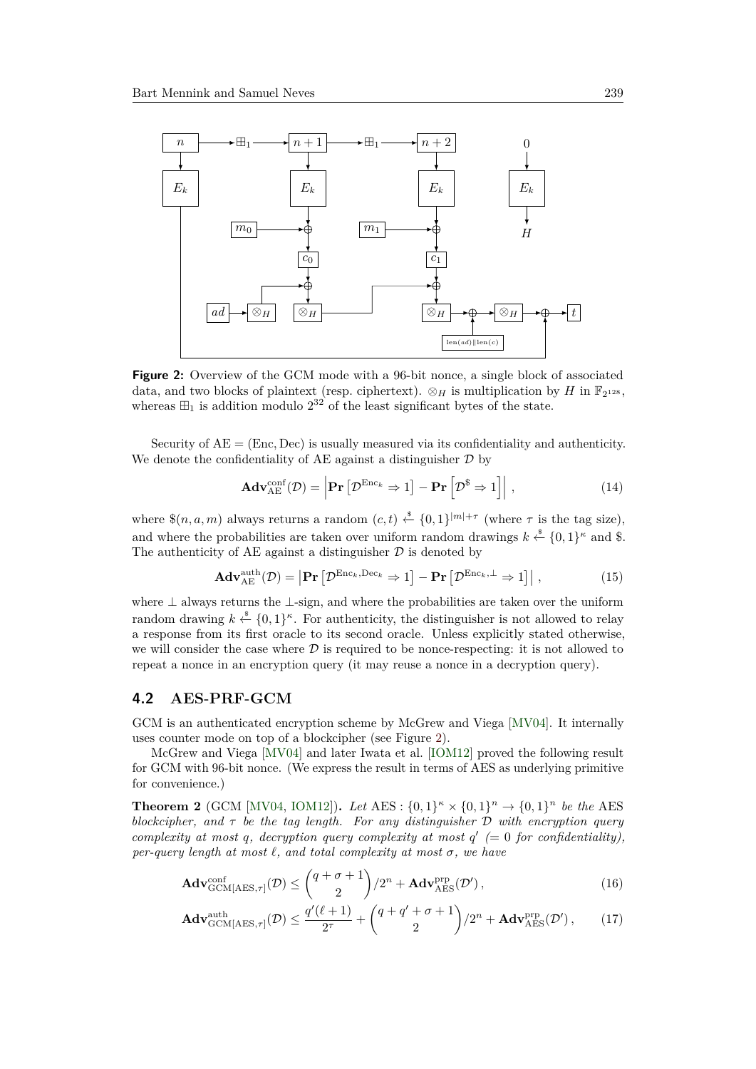<span id="page-11-0"></span>

**Figure 2:** Overview of the GCM mode with a 96-bit nonce, a single block of associated data, and two blocks of plaintext (resp. ciphertext).  $\otimes_H$  is multiplication by *H* in  $\mathbb{F}_{2^{128}}$ , whereas  $\boxplus_1$  is addition modulo  $2^{32}$  of the least significant bytes of the state.

Security of AE = (Enc*,* Dec) is usually measured via its confidentiality and authenticity. We denote the confidentiality of AE against a distinguisher  $\mathcal D$  by

<span id="page-11-2"></span><span id="page-11-1"></span>
$$
\mathbf{Adv}_{AE}^{\text{conf}}(\mathcal{D}) = \left| \mathbf{Pr} \left[ \mathcal{D}^{\text{Enc}_k} \Rightarrow 1 \right] - \mathbf{Pr} \left[ \mathcal{D}^{\$} \Rightarrow 1 \right] \right|, \tag{14}
$$

where  $\$(n, a, m)$  always returns a random  $(c, t) \xleftarrow{\$} \{0, 1\}^{|m| + \tau}$  (where  $\tau$  is the tag size), and where the probabilities are taken over uniform random drawings  $k \stackrel{\$}{\leftarrow} \{0,1\}^{\kappa}$  and \$. The authenticity of AE against a distinguisher  $\mathcal D$  is denoted by

$$
\mathbf{Adv}_{AE}^{\text{auth}}(\mathcal{D}) = \left| \mathbf{Pr} \left[ \mathcal{D}^{\text{Enc}_k, \text{Dec}_k} \Rightarrow 1 \right] - \mathbf{Pr} \left[ \mathcal{D}^{\text{Enc}_k, \perp} \Rightarrow 1 \right] \right|, \tag{15}
$$

where ⊥ always returns the ⊥-sign, and where the probabilities are taken over the uniform random drawing  $k \stackrel{\$}{\leftarrow} \{0,1\}^{\kappa}$ . For authenticity, the distinguisher is not allowed to relay a response from its first oracle to its second oracle. Unless explicitly stated otherwise, we will consider the case where  $D$  is required to be nonce-respecting: it is not allowed to repeat a nonce in an encryption query (it may reuse a nonce in a decryption query).

#### **4.2 AES-PRF-GCM**

GCM is an authenticated encryption scheme by McGrew and Viega [\[MV04\]](#page-22-1). It internally uses counter mode on top of a blockcipher (see Figure [2\)](#page-11-0).

McGrew and Viega [\[MV04\]](#page-22-1) and later Iwata et al. [\[IOM12\]](#page-20-7) proved the following result for GCM with 96-bit nonce. (We express the result in terms of AES as underlying primitive for convenience.)

**Theorem 2** (GCM [\[MV04,](#page-22-1) [IOM12\]](#page-20-7)). *Let*  $\text{AES}: \{0, 1\}^n \times \{0, 1\}^n \to \{0, 1\}^n$  *be the* AES *blockcipher, and τ be the tag length. For any distinguisher* D *with encryption query complexity at most q*, *decryption query complexity at most*  $q'$  (= 0 *for confidentiality*), *per-query length at most*  $\ell$ *, and total complexity at most*  $\sigma$ *, we have* 

$$
\mathbf{Adv}_{\mathrm{GCM}[{\mathrm{AES}},\tau]}^{\mathrm{conf}}(\mathcal{D}) \leq {q + \sigma + 1 \choose 2} / 2^n + \mathbf{Adv}_{\mathrm{AES}}^{\mathrm{prp}}(\mathcal{D}'),\tag{16}
$$

$$
\mathbf{Adv}_{\mathrm{GCM}[{\mathrm{AES}},\tau]}^{\mathrm{auth}}(\mathcal{D}) \le \frac{q'(\ell+1)}{2^{\tau}} + \binom{q+q'+\sigma+1}{2}/2^{n} + \mathbf{Adv}_{\mathrm{AES}}^{\mathrm{prp}}(\mathcal{D}'),\qquad(17)
$$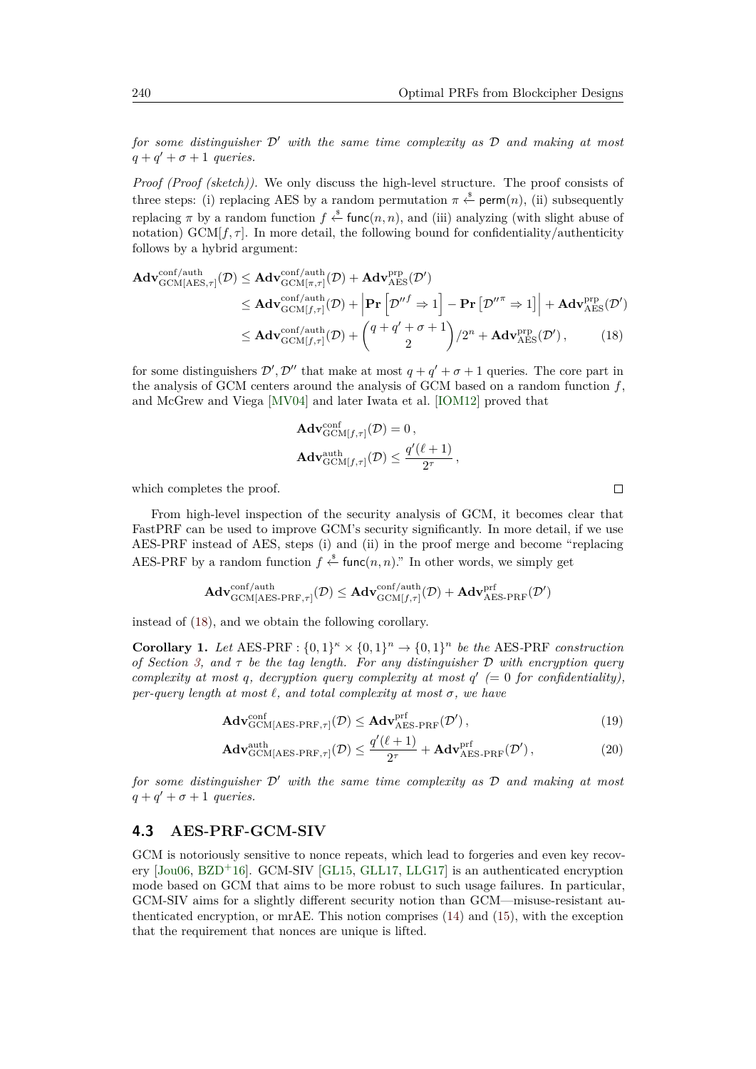*for some distinguisher*  $D'$  *with the same time complexity as*  $D$  *and making at most*  $q + q' + \sigma + 1$  *queries.* 

*Proof (Proof (sketch)).* We only discuss the high-level structure. The proof consists of three steps: (i) replacing AES by a random permutation  $\pi \stackrel{\text{*}}{\leftarrow} \text{perm}(n)$ , (ii) subsequently replacing  $\pi$  by a random function  $f \stackrel{\$}{\leftarrow} \text{func}(n, n)$ , and (iii) analyzing (with slight abuse of notation)  $GCM[f, \tau]$ . In more detail, the following bound for confidentiality/authenticity follows by a hybrid argument:

$$
\mathbf{Adv}_{\mathrm{GCM}[AES,\tau]}^{\mathrm{conf/auth}}(\mathcal{D}) \leq \mathbf{Adv}_{\mathrm{GCM}[\pi,\tau]}^{\mathrm{conf/auth}}(\mathcal{D}) + \mathbf{Adv}_{\mathrm{AES}}^{\mathrm{prp}}(\mathcal{D}')
$$
\n
$$
\leq \mathbf{Adv}_{\mathrm{GCM}[f,\tau]}^{\mathrm{conf/auth}}(\mathcal{D}) + \left| \mathbf{Pr}\left[\mathcal{D}''^f \Rightarrow 1\right] - \mathbf{Pr}\left[\mathcal{D}''^{\pi} \Rightarrow 1\right] \right| + \mathbf{Adv}_{\mathrm{AES}}^{\mathrm{prp}}(\mathcal{D}')
$$
\n
$$
\leq \mathbf{Adv}_{\mathrm{GCM}[f,\tau]}^{\mathrm{conf/auth}}(\mathcal{D}) + \binom{q+q'+\sigma+1}{2}/2^{n} + \mathbf{Adv}_{\mathrm{AES}}^{\mathrm{prp}}(\mathcal{D}'), \tag{18}
$$

for some distinguishers  $\mathcal{D}', \mathcal{D}''$  that make at most  $q + q' + \sigma + 1$  queries. The core part in the analysis of GCM centers around the analysis of GCM based on a random function *f*, and McGrew and Viega [\[MV04\]](#page-22-1) and later Iwata et al. [\[IOM12\]](#page-20-7) proved that

$$
\mathbf{Adv}_{\mathrm{GCM}[f,\tau]}^{\mathrm{conf}}(\mathcal{D}) = 0,
$$
  
\n
$$
\mathbf{Adv}_{\mathrm{GCM}[f,\tau]}^{\mathrm{auth}}(\mathcal{D}) \le \frac{q'(\ell+1)}{2^{\tau}},
$$

which completes the proof.

From high-level inspection of the security analysis of GCM, it becomes clear that FastPRF can be used to improve GCM's security significantly. In more detail, if we use AES-PRF instead of AES, steps (i) and (ii) in the proof merge and become "replacing AES-PRF by a random function  $f \stackrel{\$}{\leftarrow} \text{func}(n, n)$ ." In other words, we simply get

$$
\mathbf{Adv}^{\mathrm{conf/auth}}_{\mathrm{GCM}[{\mathrm{AES-PRF}},\tau]}(\mathcal{D}) \leq \mathbf{Adv}^{\mathrm{conf/auth}}_{\mathrm{GCM}[f,\tau]}(\mathcal{D}) + \mathbf{Adv}^{\mathrm{prf}}_{\mathrm{AES-PRF}}(\mathcal{D}')
$$

instead of [\(18\)](#page-12-0), and we obtain the following corollary.

**Corollary 1.** Let AES-PRF :  $\{0,1\}^n \times \{0,1\}^n \to \{0,1\}^n$  be the AES-PRF *construction of Section [3,](#page-6-0) and τ be the tag length. For any distinguisher* D *with encryption query complexity at most q*, *decryption query complexity at most*  $q'$  (= 0 *for confidentiality*), *per-query length at most*  $\ell$ *, and total complexity at most*  $\sigma$ *, we have* 

$$
\mathbf{Adv}_{\mathbf{GCM}[{\rm AES-PRF},\tau]}^{\text{conf}}(\mathcal{D}) \leq \mathbf{Adv}_{\mathbf{AES-PRF}}^{\text{prf}}(\mathcal{D}'),\tag{19}
$$

$$
\mathbf{Adv}_{\mathrm{GCM}[AES\text{-}PRF,\tau]}^{\text{auth}}(\mathcal{D}) \le \frac{q'(\ell+1)}{2^{\tau}} + \mathbf{Adv}_{\mathrm{AES\text{-}PRF}}^{\text{prf}}(\mathcal{D}'),\tag{20}
$$

*for some distinguisher*  $D'$  *with the same time complexity as*  $D$  *and making at most*  $q + q' + \sigma + 1$  *queries.* 

### **4.3 AES-PRF-GCM-SIV**

GCM is notoriously sensitive to nonce repeats, which lead to forgeries and even key recovery  $[Jou06, BZD<sup>+</sup>16]$  $[Jou06, BZD<sup>+</sup>16]$  $[Jou06, BZD<sup>+</sup>16]$  $[Jou06, BZD<sup>+</sup>16]$ . GCM-SIV [\[GL15,](#page-19-4) [GLL17,](#page-19-5) [LLG17\]](#page-21-8) is an authenticated encryption mode based on GCM that aims to be more robust to such usage failures. In particular, GCM-SIV aims for a slightly different security notion than GCM—misuse-resistant authenticated encryption, or mrAE. This notion comprises [\(14\)](#page-11-1) and [\(15\)](#page-11-2), with the exception that the requirement that nonces are unique is lifted.

<span id="page-12-0"></span> $\Box$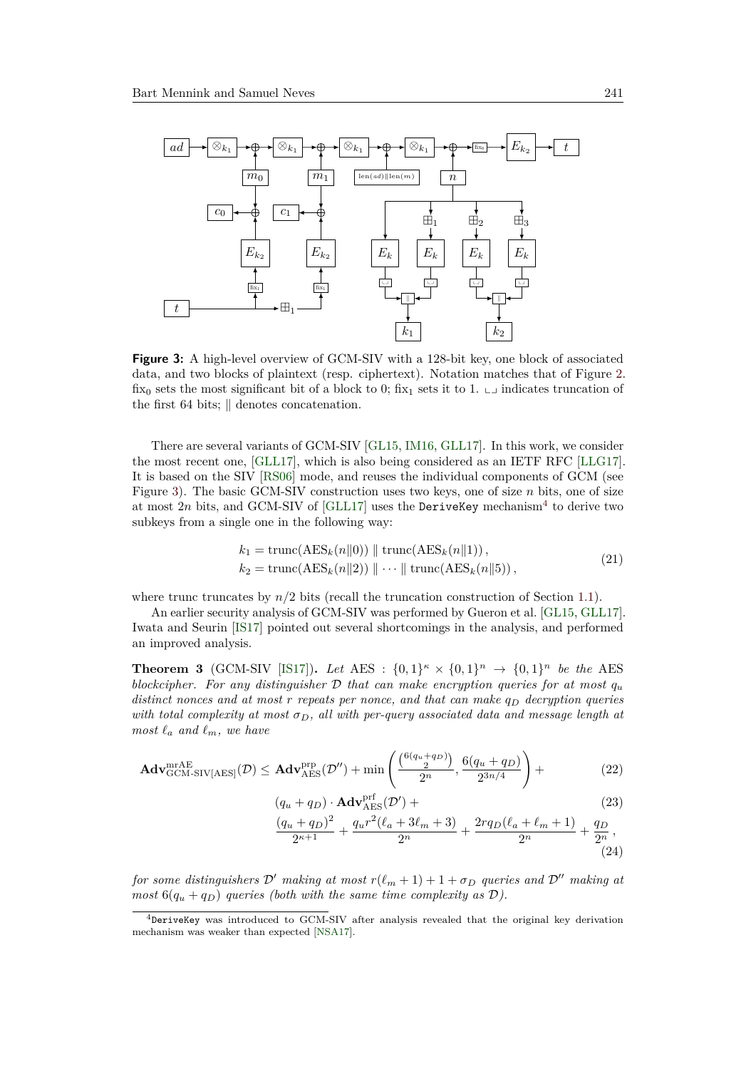<span id="page-13-0"></span>

**Figure 3:** A high-level overview of GCM-SIV with a 128-bit key, one block of associated data, and two blocks of plaintext (resp. ciphertext). Notation matches that of Figure [2.](#page-11-0) fix<sub>0</sub> sets the most significant bit of a block to 0; fix<sub>1</sub> sets it to 1.  $\Box$  indicates truncation of the first 64 bits;  $\parallel$  denotes concatenation.

There are several variants of GCM-SIV [\[GL15,](#page-19-4) [IM16,](#page-20-9) [GLL17\]](#page-19-5). In this work, we consider the most recent one, [\[GLL17\]](#page-19-5), which is also being considered as an IETF RFC [\[LLG17\]](#page-21-8). It is based on the SIV [\[RS06\]](#page-23-10) mode, and reuses the individual components of GCM (see Figure [3\)](#page-13-0). The basic GCM-SIV construction uses two keys, one of size *n* bits, one of size at most  $2n$  bits, and GCM-SIV of [\[GLL17\]](#page-19-5) uses the DeriveKey mechanism<sup>[4](#page-13-1)</sup> to derive two subkeys from a single one in the following way:

<span id="page-13-5"></span>
$$
k_1 = \text{trunc}(\text{AES}_k(n||0)) \parallel \text{trunc}(\text{AES}_k(n||1)),
$$
  
\n
$$
k_2 = \text{trunc}(\text{AES}_k(n||2)) \parallel \cdots \parallel \text{trunc}(\text{AES}_k(n||5)),
$$
\n(21)

where trunc truncates by  $n/2$  bits (recall the truncation construction of Section [1.1\)](#page-1-1).

An earlier security analysis of GCM-SIV was performed by Gueron et al. [\[GL15,](#page-19-4) [GLL17\]](#page-19-5). Iwata and Seurin [\[IS17\]](#page-20-10) pointed out several shortcomings in the analysis, and performed an improved analysis.

<span id="page-13-6"></span>**Theorem 3** (GCM-SIV [\[IS17\]](#page-20-10)). Let AES :  $\{0,1\}^{\kappa} \times \{0,1\}^n \to \{0,1\}^n$  be the AES *blockcipher. For any distinguisher*  $D$  *that can make encryption queries for at most*  $q_u$ *distinct nonces and at most r repeats per nonce, and that can make q<sup>D</sup> decryption queries with total complexity at most*  $\sigma_D$ , all with per-query associated data and message length at *most*  $\ell_a$  *and*  $\ell_m$ *, we have* 

$$
\mathbf{Adv}_{\mathrm{GCM-SIV[AES]}}^{\mathrm{mrAE}}(\mathcal{D}) \leq \mathbf{Adv}_{\mathrm{AES}}^{\mathrm{prp}}(\mathcal{D}'') + \min\left(\frac{\binom{6(q_u + q_D)}{2}}{2^n}, \frac{6(q_u + q_D)}{2^{3n/4}}\right) + \tag{22}
$$

<span id="page-13-2"></span>
$$
(q_u + q_D) \cdot \mathbf{Adv}_{\mathrm{AES}}^{\mathrm{prf}}(\mathcal{D}') +
$$
\n(23)

<span id="page-13-4"></span><span id="page-13-3"></span>
$$
\frac{(q_u+q_D)^2}{2^{\kappa+1}} + \frac{q_u r^2 (\ell_a + 3\ell_m + 3)}{2^n} + \frac{2r q_D (\ell_a + \ell_m + 1)}{2^n} + \frac{q_D}{2^n},
$$
\n(24)

*for some distinguishers*  $D'$  *making at most*  $r(\ell_m + 1) + 1 + \sigma_D$  *queries and*  $D''$  *making at most*  $6(q_u + q_D)$  *queries (both with the same time complexity as*  $D$ ).

<span id="page-13-1"></span> $4$ DeriveKey was introduced to GCM-SIV after analysis revealed that the original key derivation mechanism was weaker than expected [\[NSA17\]](#page-22-8).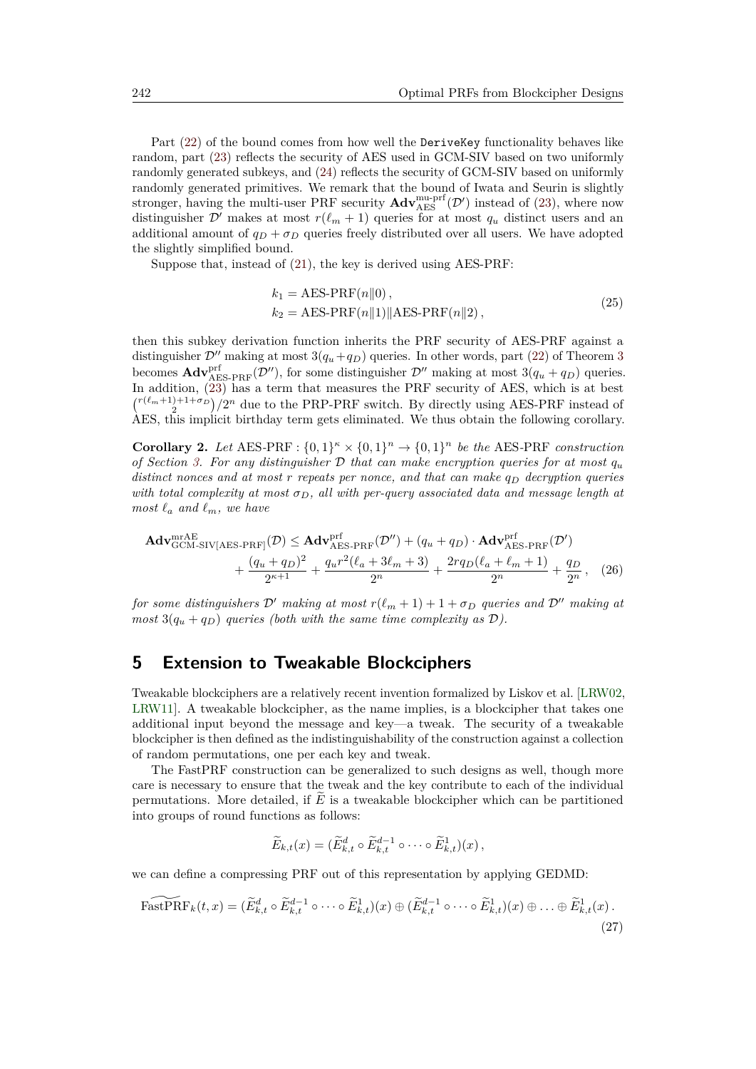Part  $(22)$  of the bound comes from how well the DeriveKey functionality behaves like random, part [\(23\)](#page-13-3) reflects the security of AES used in GCM-SIV based on two uniformly randomly generated subkeys, and [\(24\)](#page-13-4) reflects the security of GCM-SIV based on uniformly randomly generated primitives. We remark that the bound of Iwata and Seurin is slightly stronger, having the multi-user PRF security  $\mathbf{Adv}_{\mathrm{AES}}^{\mathrm{mu-prf}}(\mathcal{D}')$  instead of [\(23\)](#page-13-3), where now distinguisher  $\mathcal{D}'$  makes at most  $r(\ell_m + 1)$  queries for at most  $q_u$  distinct users and an additional amount of  $q_D + \sigma_D$  queries freely distributed over all users. We have adopted the slightly simplified bound.

Suppose that, instead of [\(21\)](#page-13-5), the key is derived using AES-PRF:

$$
k_1 = \text{AES-PRF}(n||0),
$$
  
\n
$$
k_2 = \text{AES-PRF}(n||1)||\text{AES-PRF}(n||2),
$$
\n(25)

then this subkey derivation function inherits the PRF security of AES-PRF against a distinguisher  $\mathcal{D}^{\prime\prime}$  making at most  $3(q_u+q_D)$  $3(q_u+q_D)$  queries. In other words, part [\(22\)](#page-13-2) of Theorem 3 becomes  $\text{Adv}_{\text{AES-PRF}}^{\text{prf}}(\mathcal{D}'')$ , for some distinguisher  $\mathcal{D}''$  making at most  $3(q_u + q_D)$  queries. In addition, [\(23\)](#page-13-3) has a term that measures the PRF security of AES, which is at best  $\binom{r(\ell_m+1)+1+\sigma_D}{2}/2^n$  due to the PRP-PRF switch. By directly using AES-PRF instead of AES, this implicit birthday term gets eliminated. We thus obtain the following corollary.

**Corollary 2.** Let AES-PRF :  $\{0,1\}^n \times \{0,1\}^n \to \{0,1\}^n$  be the AES-PRF *construction of Section* [3.](#page-6-0) For any distinguisher  $\mathcal{D}$  that can make encryption queries for at most  $q_u$ *distinct nonces and at most r repeats per nonce, and that can make q<sup>D</sup> decryption queries with total complexity at most*  $\sigma_D$ , all with per-query associated data and message length at *most*  $\ell_a$  *and*  $\ell_m$ *, we have* 

$$
\mathbf{Adv}_{\mathrm{GCM-SIV[AES-PRF]}^{mrAE}(D) \leq \mathbf{Adv}_{\mathrm{AES-PRF}}^{prF}(\mathcal{D}'') + (q_u + q_D) \cdot \mathbf{Adv}_{\mathrm{AES-PRF}}^{prF}(\mathcal{D}')
$$
  
+ 
$$
\frac{(q_u + q_D)^2}{2^{\kappa+1}} + \frac{q_u r^2 (\ell_a + 3\ell_m + 3)}{2^n} + \frac{2r q_D (\ell_a + \ell_m + 1)}{2^n} + \frac{q_D}{2^n}, \quad (26)
$$

*for some distinguishers*  $\mathcal{D}'$  *making at most*  $r(\ell_m + 1) + 1 + \sigma_D$  *queries and*  $\mathcal{D}''$  *making at most*  $3(q_u + q_D)$  *queries (both with the same time complexity as D).* 

### <span id="page-14-0"></span>**5 Extension to Tweakable Blockciphers**

Tweakable blockciphers are a relatively recent invention formalized by Liskov et al. [\[LRW02,](#page-21-10) [LRW11\]](#page-21-11). A tweakable blockcipher, as the name implies, is a blockcipher that takes one additional input beyond the message and key—a tweak. The security of a tweakable blockcipher is then defined as the indistinguishability of the construction against a collection of random permutations, one per each key and tweak.

The FastPRF construction can be generalized to such designs as well, though more care is necessary to ensure that the tweak and the key contribute to each of the individual permutations. More detailed, if  $E$  is a tweakable blockcipher which can be partitioned into groups of round functions as follows:

<span id="page-14-1"></span>
$$
\widetilde{E}_{k,t}(x)=(\widetilde{E}_{k,t}^d\circ \widetilde{E}_{k,t}^{d-1}\circ\cdots\circ \widetilde{E}_{k,t}^1)(x),
$$

we can define a compressing PRF out of this representation by applying GEDMD:

$$
\widetilde{\text{FastPRF}}_k(t,x) = (\widetilde{E}_{k,t}^d \circ \widetilde{E}_{k,t}^{d-1} \circ \cdots \circ \widetilde{E}_{k,t}^1)(x) \oplus (\widetilde{E}_{k,t}^{d-1} \circ \cdots \circ \widetilde{E}_{k,t}^1)(x) \oplus \ldots \oplus \widetilde{E}_{k,t}^1(x).
$$
\n(27)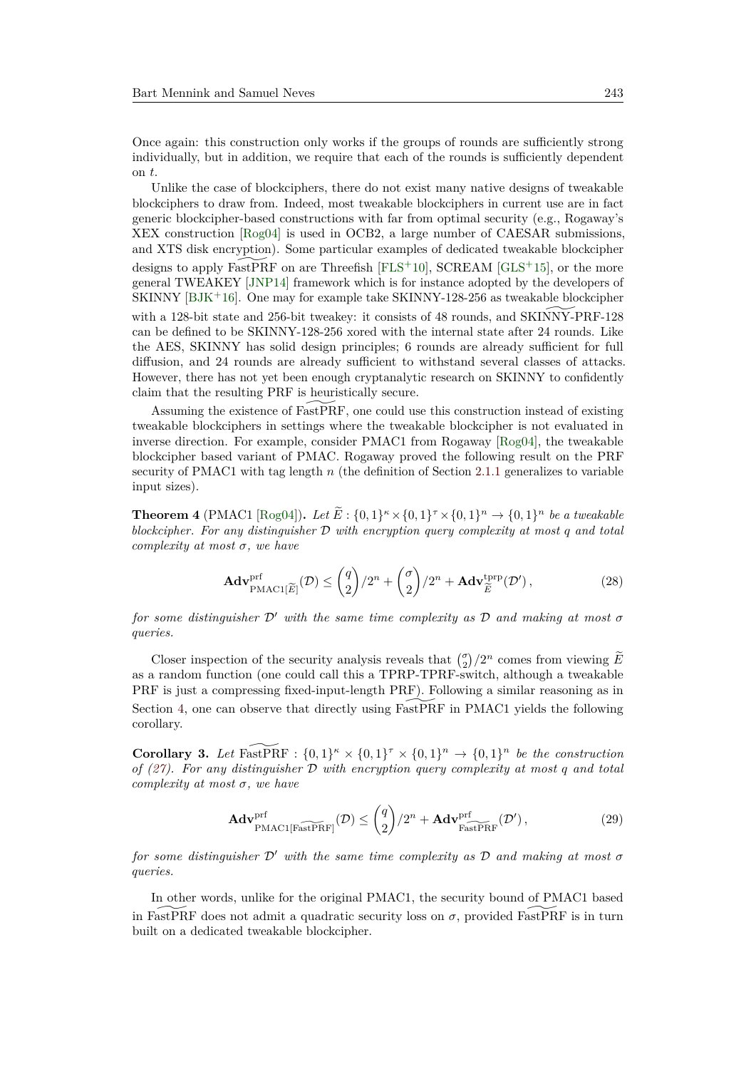Once again: this construction only works if the groups of rounds are sufficiently strong individually, but in addition, we require that each of the rounds is sufficiently dependent on *t*.

Unlike the case of blockciphers, there do not exist many native designs of tweakable blockciphers to draw from. Indeed, most tweakable blockciphers in current use are in fact generic blockcipher-based constructions with far from optimal security (e.g., Rogaway's XEX construction [\[Rog04\]](#page-23-11) is used in OCB2, a large number of CAESAR submissions, and XTS disk encryption). Some particular examples of dedicated tweakable blockcipher designs to apply FastPRF on are Threefish  $[FLS^+10]$  $[FLS^+10]$ , SCREAM  $[GLS^+15]$  $[GLS^+15]$ , or the more general TWEAKEY [\[JNP14\]](#page-20-11) framework which is for instance adopted by the developers of SKINNY [\[BJK](#page-16-6)<sup>+</sup>16]. One may for example take SKINNY-128-256 as tweakable blockcipher with a 128-bit state and 256-bit tweakey: it consists of 48 rounds, and SKINNY-PRF-128 can be defined to be SKINNY-128-256 xored with the internal state after 24 rounds. Like the AES, SKINNY has solid design principles; 6 rounds are already sufficient for full diffusion, and 24 rounds are already sufficient to withstand several classes of attacks. However, there has not yet been enough cryptanalytic research on SKINNY to confidently claim that the resulting PRF is heuristically secure.

Assuming the existence of FastPRF, one could use this construction instead of existing tweakable blockciphers in settings where the tweakable blockcipher is not evaluated in inverse direction. For example, consider PMAC1 from Rogaway [\[Rog04\]](#page-23-11), the tweakable blockcipher based variant of PMAC. Rogaway proved the following result on the PRF security of PMAC1 with tag length *n* (the definition of Section [2.1.1](#page-3-1) generalizes to variable input sizes).

**Theorem 4** (PMAC1 [\[Rog04\]](#page-23-11)). Let  $\tilde{E}$ : {0,1}<sup> $\kappa$ </sup> × {0,1}<sup> $\tau$ </sup> × {0,1}<sup> $n$ </sup> → {0,1}<sup> $n$ </sup> be a tweakable *blockcipher. For any distinguisher* D *with encryption query complexity at most q and total complexity at most σ, we have*

$$
\mathbf{Adv}_{\mathrm{PMAC1}[\widetilde{E}]}^{\mathrm{prf}}(\mathcal{D}) \leq {q \choose 2} / 2^n + {q \choose 2} / 2^n + \mathbf{Adv}_{\widetilde{E}}^{\mathrm{trp}}(\mathcal{D}'), \tag{28}
$$

*for some distinguisher*  $\mathcal{D}'$  *with the same time complexity as*  $\mathcal{D}$  *and making at most*  $\sigma$ *queries.*

Closer inspection of the security analysis reveals that  $\binom{\sigma}{2}/2^n$  comes from viewing  $\widetilde{E}$ as a random function (one could call this a TPRP-TPRF-switch, although a tweakable PRF is just a compressing fixed-input-length PRF). Following a similar reasoning as in Section [4,](#page-10-0) one can observe that directly using  $FastPRF$  in PMAC1 yields the following corollary.

**Corollary 3.** Let FastPRF :  $\{0,1\}^{\kappa} \times \{0,1\}^{\tau} \times \{0,1\}^n \rightarrow \{0,1\}^n$  be the construction *of [\(27\)](#page-14-1). For any distinguisher* D *with encryption query complexity at most q and total complexity at most σ, we have*

$$
\mathbf{Adv}_{\mathrm{PMAC1}[\mathrm{FastPRF}]}^{\mathrm{prf}}(\mathcal{D}) \leq {q \choose 2} / 2^n + \mathbf{Adv}_{\mathrm{FastPRF}}^{\mathrm{prf}}(\mathcal{D}'),\tag{29}
$$

*for some distinguisher*  $\mathcal{D}'$  *with the same time complexity as*  $\mathcal{D}$  *and making at most*  $\sigma$ *queries.*

In other words, unlike for the original PMAC1, the security bound of PMAC1 based in FastPRF does not admit a quadratic security loss on  $\sigma$ , provided FastPRF is in turn built on a dedicated tweakable blockcipher.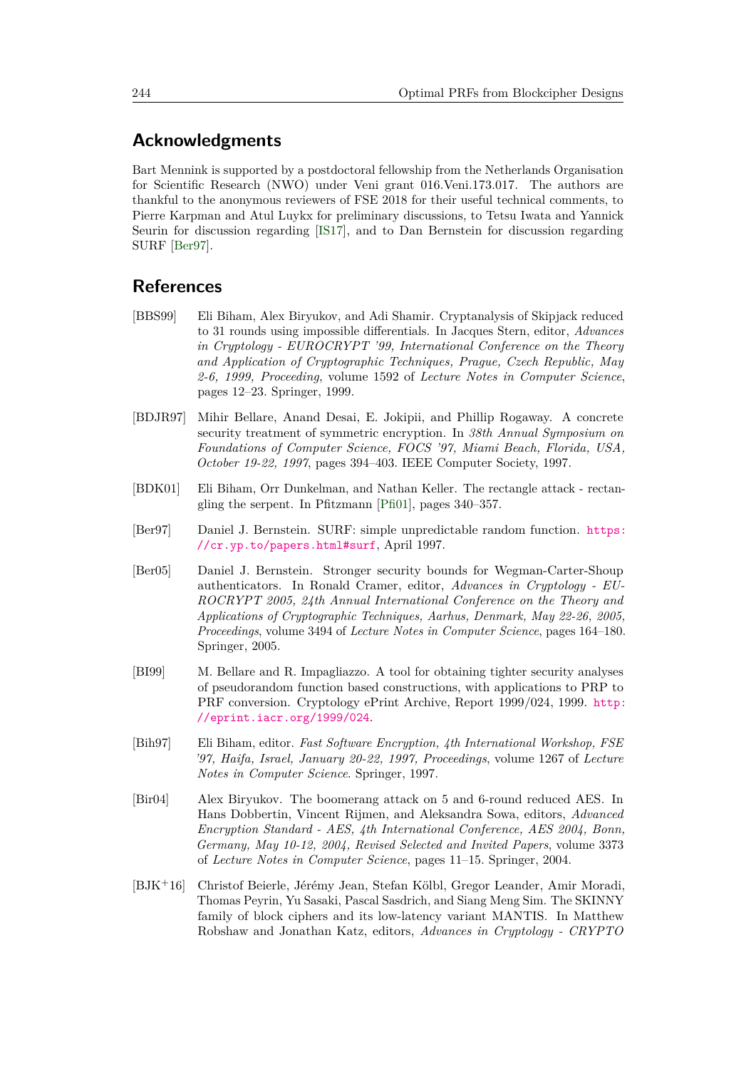### **Acknowledgments**

Bart Mennink is supported by a postdoctoral fellowship from the Netherlands Organisation for Scientific Research (NWO) under Veni grant 016.Veni.173.017. The authors are thankful to the anonymous reviewers of FSE 2018 for their useful technical comments, to Pierre Karpman and Atul Luykx for preliminary discussions, to Tetsu Iwata and Yannick Seurin for discussion regarding [\[IS17\]](#page-20-10), and to Dan Bernstein for discussion regarding SURF [\[Ber97\]](#page-16-4).

### **References**

- <span id="page-16-0"></span>[BBS99] Eli Biham, Alex Biryukov, and Adi Shamir. Cryptanalysis of Skipjack reduced to 31 rounds using impossible differentials. In Jacques Stern, editor, *Advances in Cryptology - EUROCRYPT '99, International Conference on the Theory and Application of Cryptographic Techniques, Prague, Czech Republic, May 2-6, 1999, Proceeding*, volume 1592 of *Lecture Notes in Computer Science*, pages 12–23. Springer, 1999.
- <span id="page-16-2"></span>[BDJR97] Mihir Bellare, Anand Desai, E. Jokipii, and Phillip Rogaway. A concrete security treatment of symmetric encryption. In *38th Annual Symposium on Foundations of Computer Science, FOCS '97, Miami Beach, Florida, USA, October 19-22, 1997*, pages 394–403. IEEE Computer Society, 1997.
- <span id="page-16-1"></span>[BDK01] Eli Biham, Orr Dunkelman, and Nathan Keller. The rectangle attack - rectangling the serpent. In Pfitzmann [\[Pfi01\]](#page-22-9), pages 340–357.
- <span id="page-16-4"></span>[Ber97] Daniel J. Bernstein. SURF: simple unpredictable random function. [https:](https://cr.yp.to/papers.html#surf) [//cr.yp.to/papers.html#surf](https://cr.yp.to/papers.html#surf), April 1997.
- <span id="page-16-3"></span>[Ber05] Daniel J. Bernstein. Stronger security bounds for Wegman-Carter-Shoup authenticators. In Ronald Cramer, editor, *Advances in Cryptology - EU-ROCRYPT 2005, 24th Annual International Conference on the Theory and Applications of Cryptographic Techniques, Aarhus, Denmark, May 22-26, 2005, Proceedings*, volume 3494 of *Lecture Notes in Computer Science*, pages 164–180. Springer, 2005.
- <span id="page-16-5"></span>[BI99] M. Bellare and R. Impagliazzo. A tool for obtaining tighter security analyses of pseudorandom function based constructions, with applications to PRP to PRF conversion. Cryptology ePrint Archive, Report 1999/024, 1999. [http:](http://eprint.iacr.org/1999/024) [//eprint.iacr.org/1999/024](http://eprint.iacr.org/1999/024).
- <span id="page-16-8"></span>[Bih97] Eli Biham, editor. *Fast Software Encryption, 4th International Workshop, FSE '97, Haifa, Israel, January 20-22, 1997, Proceedings*, volume 1267 of *Lecture Notes in Computer Science*. Springer, 1997.
- <span id="page-16-7"></span>[Bir04] Alex Biryukov. The boomerang attack on 5 and 6-round reduced AES. In Hans Dobbertin, Vincent Rijmen, and Aleksandra Sowa, editors, *Advanced Encryption Standard - AES, 4th International Conference, AES 2004, Bonn, Germany, May 10-12, 2004, Revised Selected and Invited Papers*, volume 3373 of *Lecture Notes in Computer Science*, pages 11–15. Springer, 2004.
- <span id="page-16-6"></span>[BJK<sup>+</sup>16] Christof Beierle, Jérémy Jean, Stefan Kölbl, Gregor Leander, Amir Moradi, Thomas Peyrin, Yu Sasaki, Pascal Sasdrich, and Siang Meng Sim. The SKINNY family of block ciphers and its low-latency variant MANTIS. In Matthew Robshaw and Jonathan Katz, editors, *Advances in Cryptology - CRYPTO*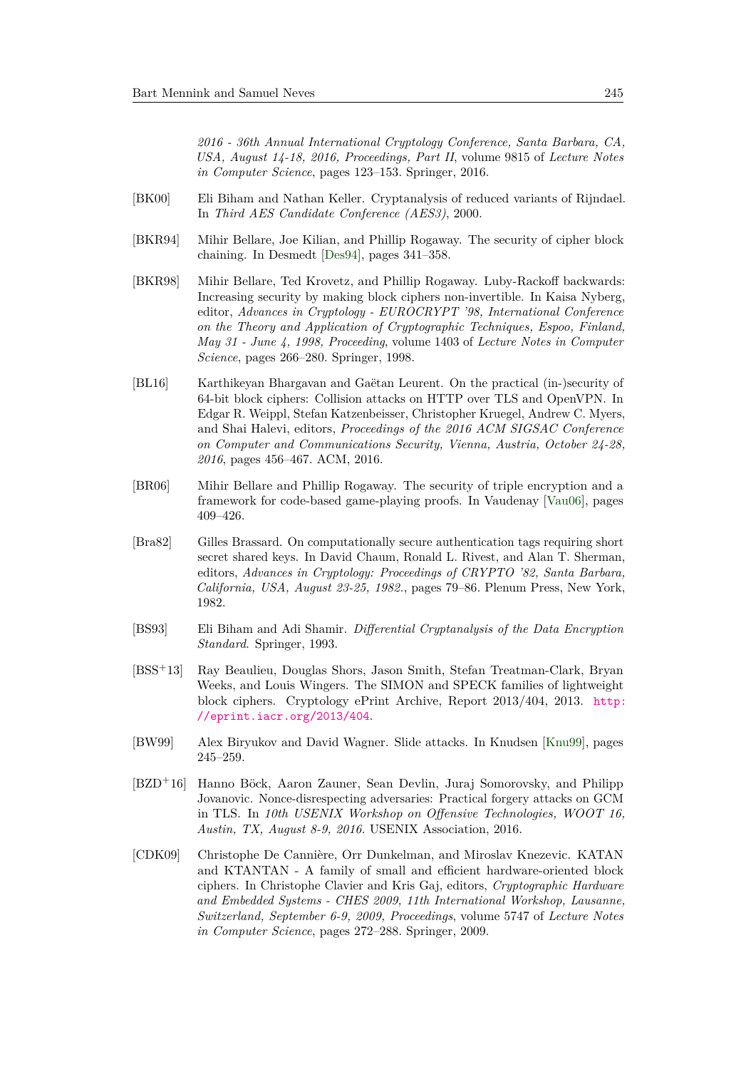*2016 - 36th Annual International Cryptology Conference, Santa Barbara, CA, USA, August 14-18, 2016, Proceedings, Part II*, volume 9815 of *Lecture Notes in Computer Science*, pages 123–153. Springer, 2016.

- <span id="page-17-9"></span>[BK00] Eli Biham and Nathan Keller. Cryptanalysis of reduced variants of Rijndael. In *Third AES Candidate Conference (AES3)*, 2000.
- <span id="page-17-5"></span>[BKR94] Mihir Bellare, Joe Kilian, and Phillip Rogaway. The security of cipher block chaining. In Desmedt [\[Des94\]](#page-18-10), pages 341–358.
- <span id="page-17-7"></span>[BKR98] Mihir Bellare, Ted Krovetz, and Phillip Rogaway. Luby-Rackoff backwards: Increasing security by making block ciphers non-invertible. In Kaisa Nyberg, editor, *Advances in Cryptology - EUROCRYPT '98, International Conference on the Theory and Application of Cryptographic Techniques, Espoo, Finland, May 31 - June 4, 1998, Proceeding*, volume 1403 of *Lecture Notes in Computer Science*, pages 266–280. Springer, 1998.
- <span id="page-17-1"></span>[BL16] Karthikeyan Bhargavan and Gaëtan Leurent. On the practical (in-)security of 64-bit block ciphers: Collision attacks on HTTP over TLS and OpenVPN. In Edgar R. Weippl, Stefan Katzenbeisser, Christopher Kruegel, Andrew C. Myers, and Shai Halevi, editors, *Proceedings of the 2016 ACM SIGSAC Conference on Computer and Communications Security, Vienna, Austria, October 24-28, 2016*, pages 456–467. ACM, 2016.
- <span id="page-17-6"></span>[BR06] Mihir Bellare and Phillip Rogaway. The security of triple encryption and a framework for code-based game-playing proofs. In Vaudenay [\[Vau06\]](#page-23-12), pages 409–426.
- <span id="page-17-4"></span>[Bra82] Gilles Brassard. On computationally secure authentication tags requiring short secret shared keys. In David Chaum, Ronald L. Rivest, and Alan T. Sherman, editors, *Advances in Cryptology: Proceedings of CRYPTO '82, Santa Barbara, California, USA, August 23-25, 1982.*, pages 79–86. Plenum Press, New York, 1982.
- <span id="page-17-0"></span>[BS93] Eli Biham and Adi Shamir. *Differential Cryptanalysis of the Data Encryption Standard*. Springer, 1993.
- <span id="page-17-2"></span>[BSS<sup>+</sup>13] Ray Beaulieu, Douglas Shors, Jason Smith, Stefan Treatman-Clark, Bryan Weeks, and Louis Wingers. The SIMON and SPECK families of lightweight block ciphers. Cryptology ePrint Archive, Report 2013/404, 2013. [http:](http://eprint.iacr.org/2013/404) [//eprint.iacr.org/2013/404](http://eprint.iacr.org/2013/404).
- <span id="page-17-8"></span>[BW99] Alex Biryukov and David Wagner. Slide attacks. In Knudsen [\[Knu99\]](#page-21-12), pages 245–259.
- <span id="page-17-10"></span>[BZD<sup>+</sup>16] Hanno Böck, Aaron Zauner, Sean Devlin, Juraj Somorovsky, and Philipp Jovanovic. Nonce-disrespecting adversaries: Practical forgery attacks on GCM in TLS. In *10th USENIX Workshop on Offensive Technologies, WOOT 16, Austin, TX, August 8-9, 2016.* USENIX Association, 2016.
- <span id="page-17-3"></span>[CDK09] Christophe De Cannière, Orr Dunkelman, and Miroslav Knezevic. KATAN and KTANTAN - A family of small and efficient hardware-oriented block ciphers. In Christophe Clavier and Kris Gaj, editors, *Cryptographic Hardware and Embedded Systems - CHES 2009, 11th International Workshop, Lausanne, Switzerland, September 6-9, 2009, Proceedings*, volume 5747 of *Lecture Notes in Computer Science*, pages 272–288. Springer, 2009.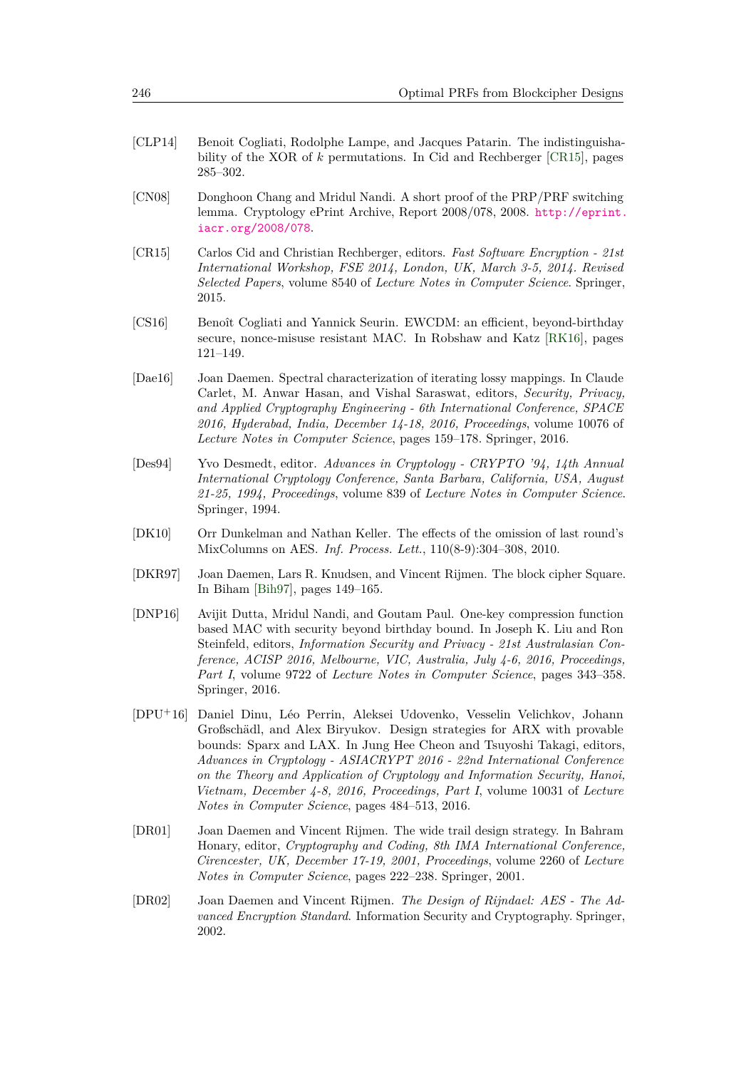- <span id="page-18-5"></span>[CLP14] Benoit Cogliati, Rodolphe Lampe, and Jacques Patarin. The indistinguishability of the XOR of *k* permutations. In Cid and Rechberger [\[CR15\]](#page-18-11), pages 285–302.
- <span id="page-18-4"></span>[CN08] Donghoon Chang and Mridul Nandi. A short proof of the PRP/PRF switching lemma. Cryptology ePrint Archive, Report 2008/078, 2008. [http://eprint.](http://eprint.iacr.org/2008/078) [iacr.org/2008/078](http://eprint.iacr.org/2008/078).
- <span id="page-18-11"></span>[CR15] Carlos Cid and Christian Rechberger, editors. *Fast Software Encryption - 21st International Workshop, FSE 2014, London, UK, March 3-5, 2014. Revised Selected Papers*, volume 8540 of *Lecture Notes in Computer Science*. Springer, 2015.
- <span id="page-18-6"></span>[CS16] Benoît Cogliati and Yannick Seurin. EWCDM: an efficient, beyond-birthday secure, nonce-misuse resistant MAC. In Robshaw and Katz [\[RK16\]](#page-23-13), pages 121–149.
- <span id="page-18-7"></span>[Dae16] Joan Daemen. Spectral characterization of iterating lossy mappings. In Claude Carlet, M. Anwar Hasan, and Vishal Saraswat, editors, *Security, Privacy, and Applied Cryptography Engineering - 6th International Conference, SPACE 2016, Hyderabad, India, December 14-18, 2016, Proceedings*, volume 10076 of *Lecture Notes in Computer Science*, pages 159–178. Springer, 2016.
- <span id="page-18-10"></span>[Des94] Yvo Desmedt, editor. *Advances in Cryptology - CRYPTO '94, 14th Annual International Cryptology Conference, Santa Barbara, California, USA, August 21-25, 1994, Proceedings*, volume 839 of *Lecture Notes in Computer Science*. Springer, 1994.
- <span id="page-18-9"></span>[DK10] Orr Dunkelman and Nathan Keller. The effects of the omission of last round's MixColumns on AES. *Inf. Process. Lett.*, 110(8-9):304–308, 2010.
- <span id="page-18-2"></span>[DKR97] Joan Daemen, Lars R. Knudsen, and Vincent Rijmen. The block cipher Square. In Biham [\[Bih97\]](#page-16-8), pages 149–165.
- <span id="page-18-8"></span>[DNP16] Avijit Dutta, Mridul Nandi, and Goutam Paul. One-key compression function based MAC with security beyond birthday bound. In Joseph K. Liu and Ron Steinfeld, editors, *Information Security and Privacy - 21st Australasian Conference, ACISP 2016, Melbourne, VIC, Australia, July 4-6, 2016, Proceedings, Part I*, volume 9722 of *Lecture Notes in Computer Science*, pages 343–358. Springer, 2016.
- <span id="page-18-3"></span>[DPU<sup>+</sup>16] Daniel Dinu, Léo Perrin, Aleksei Udovenko, Vesselin Velichkov, Johann Großschädl, and Alex Biryukov. Design strategies for ARX with provable bounds: Sparx and LAX. In Jung Hee Cheon and Tsuyoshi Takagi, editors, *Advances in Cryptology - ASIACRYPT 2016 - 22nd International Conference on the Theory and Application of Cryptology and Information Security, Hanoi, Vietnam, December 4-8, 2016, Proceedings, Part I*, volume 10031 of *Lecture Notes in Computer Science*, pages 484–513, 2016.
- <span id="page-18-1"></span>[DR01] Joan Daemen and Vincent Rijmen. The wide trail design strategy. In Bahram Honary, editor, *Cryptography and Coding, 8th IMA International Conference, Cirencester, UK, December 17-19, 2001, Proceedings*, volume 2260 of *Lecture Notes in Computer Science*, pages 222–238. Springer, 2001.
- <span id="page-18-0"></span>[DR02] Joan Daemen and Vincent Rijmen. *The Design of Rijndael: AES - The Advanced Encryption Standard*. Information Security and Cryptography. Springer, 2002.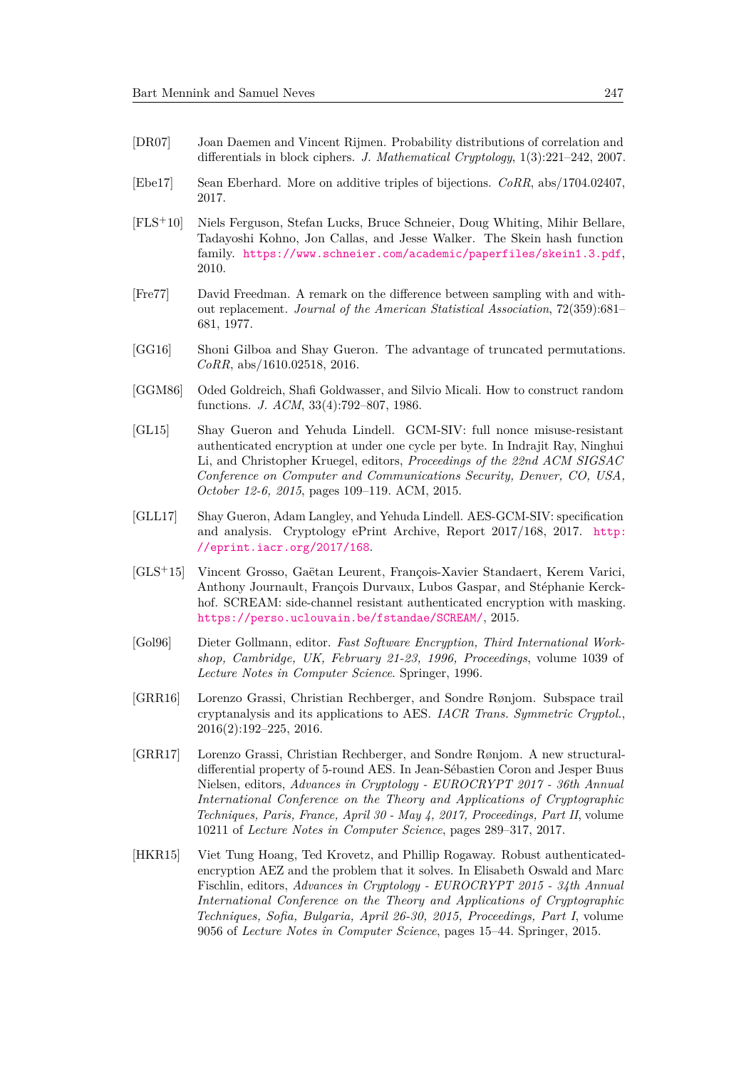- <span id="page-19-8"></span>[DR07] Joan Daemen and Vincent Rijmen. Probability distributions of correlation and differentials in block ciphers. *J. Mathematical Cryptology*, 1(3):221–242, 2007.
- <span id="page-19-12"></span>[Ebe17] Sean Eberhard. More on additive triples of bijections. *CoRR*, abs/1704.02407, 2017.
- <span id="page-19-9"></span>[FLS<sup>+</sup>10] Niels Ferguson, Stefan Lucks, Bruce Schneier, Doug Whiting, Mihir Bellare, Tadayoshi Kohno, Jon Callas, and Jesse Walker. The Skein hash function family. <https://www.schneier.com/academic/paperfiles/skein1.3.pdf>, 2010.
- <span id="page-19-1"></span>[Fre77] David Freedman. A remark on the difference between sampling with and without replacement. *Journal of the American Statistical Association*, 72(359):681– 681, 1977.
- <span id="page-19-2"></span>[GG16] Shoni Gilboa and Shay Gueron. The advantage of truncated permutations. *CoRR*, abs/1610.02518, 2016.
- <span id="page-19-0"></span>[GGM86] Oded Goldreich, Shafi Goldwasser, and Silvio Micali. How to construct random functions. *J. ACM*, 33(4):792–807, 1986.
- <span id="page-19-4"></span>[GL15] Shay Gueron and Yehuda Lindell. GCM-SIV: full nonce misuse-resistant authenticated encryption at under one cycle per byte. In Indrajit Ray, Ninghui Li, and Christopher Kruegel, editors, *Proceedings of the 22nd ACM SIGSAC Conference on Computer and Communications Security, Denver, CO, USA, October 12-6, 2015*, pages 109–119. ACM, 2015.
- <span id="page-19-5"></span>[GLL17] Shay Gueron, Adam Langley, and Yehuda Lindell. AES-GCM-SIV: specification and analysis. Cryptology ePrint Archive, Report 2017/168, 2017. [http:](http://eprint.iacr.org/2017/168) [//eprint.iacr.org/2017/168](http://eprint.iacr.org/2017/168).
- <span id="page-19-10"></span>[GLS<sup>+</sup>15] Vincent Grosso, Gaëtan Leurent, François-Xavier Standaert, Kerem Varici, Anthony Journault, François Durvaux, Lubos Gaspar, and Stéphanie Kerckhof. SCREAM: side-channel resistant authenticated encryption with masking. <https://perso.uclouvain.be/fstandae/SCREAM/>, 2015.
- <span id="page-19-11"></span>[Gol96] Dieter Gollmann, editor. *Fast Software Encryption, Third International Workshop, Cambridge, UK, February 21-23, 1996, Proceedings*, volume 1039 of *Lecture Notes in Computer Science*. Springer, 1996.
- <span id="page-19-6"></span>[GRR16] Lorenzo Grassi, Christian Rechberger, and Sondre Rønjom. Subspace trail cryptanalysis and its applications to AES. *IACR Trans. Symmetric Cryptol.*, 2016(2):192–225, 2016.
- <span id="page-19-7"></span>[GRR17] Lorenzo Grassi, Christian Rechberger, and Sondre Rønjom. A new structuraldifferential property of 5-round AES. In Jean-Sébastien Coron and Jesper Buus Nielsen, editors, *Advances in Cryptology - EUROCRYPT 2017 - 36th Annual International Conference on the Theory and Applications of Cryptographic Techniques, Paris, France, April 30 - May 4, 2017, Proceedings, Part II*, volume 10211 of *Lecture Notes in Computer Science*, pages 289–317, 2017.
- <span id="page-19-3"></span>[HKR15] Viet Tung Hoang, Ted Krovetz, and Phillip Rogaway. Robust authenticatedencryption AEZ and the problem that it solves. In Elisabeth Oswald and Marc Fischlin, editors, *Advances in Cryptology - EUROCRYPT 2015 - 34th Annual International Conference on the Theory and Applications of Cryptographic Techniques, Sofia, Bulgaria, April 26-30, 2015, Proceedings, Part I*, volume 9056 of *Lecture Notes in Computer Science*, pages 15–44. Springer, 2015.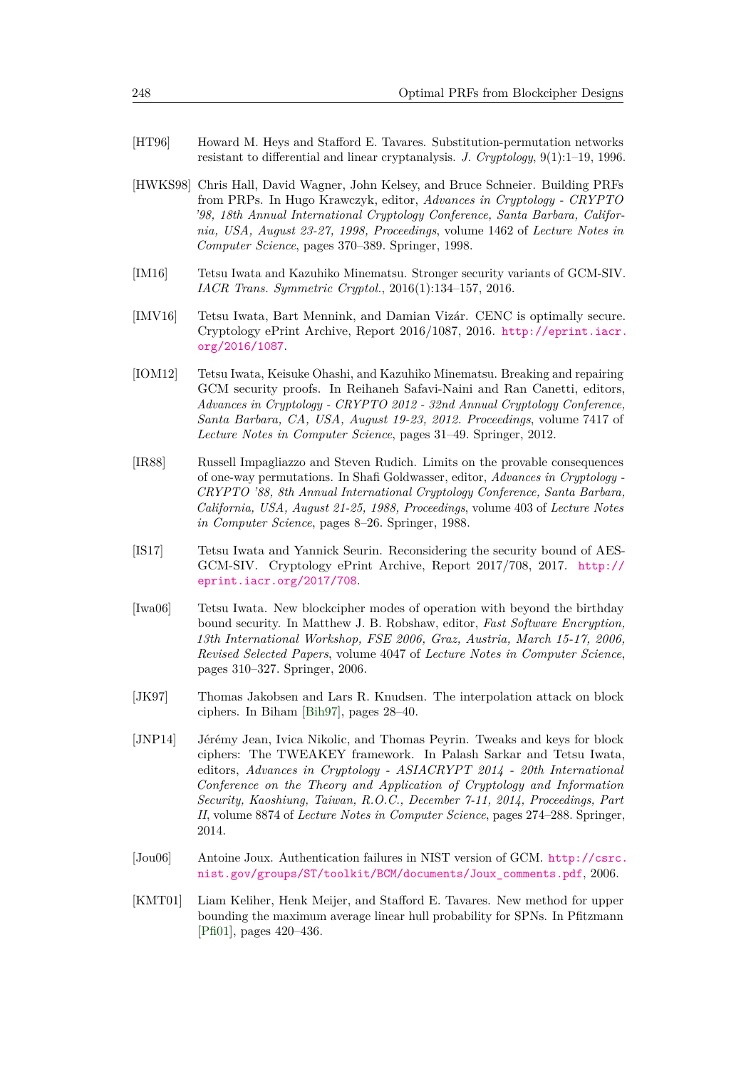- <span id="page-20-0"></span>[HT96] Howard M. Heys and Stafford E. Tavares. Substitution-permutation networks resistant to differential and linear cryptanalysis. *J. Cryptology*, 9(1):1–19, 1996.
- <span id="page-20-3"></span>[HWKS98] Chris Hall, David Wagner, John Kelsey, and Bruce Schneier. Building PRFs from PRPs. In Hugo Krawczyk, editor, *Advances in Cryptology - CRYPTO '98, 18th Annual International Cryptology Conference, Santa Barbara, California, USA, August 23-27, 1998, Proceedings*, volume 1462 of *Lecture Notes in Computer Science*, pages 370–389. Springer, 1998.
- <span id="page-20-9"></span>[IM16] Tetsu Iwata and Kazuhiko Minematsu. Stronger security variants of GCM-SIV. *IACR Trans. Symmetric Cryptol.*, 2016(1):134–157, 2016.
- <span id="page-20-5"></span>[IMV16] Tetsu Iwata, Bart Mennink, and Damian Vizár. CENC is optimally secure. Cryptology ePrint Archive, Report 2016/1087, 2016. [http://eprint.iacr.](http://eprint.iacr.org/2016/1087) [org/2016/1087](http://eprint.iacr.org/2016/1087).
- <span id="page-20-7"></span>[IOM12] Tetsu Iwata, Keisuke Ohashi, and Kazuhiko Minematsu. Breaking and repairing GCM security proofs. In Reihaneh Safavi-Naini and Ran Canetti, editors, *Advances in Cryptology - CRYPTO 2012 - 32nd Annual Cryptology Conference, Santa Barbara, CA, USA, August 19-23, 2012. Proceedings*, volume 7417 of *Lecture Notes in Computer Science*, pages 31–49. Springer, 2012.
- <span id="page-20-2"></span>[IR88] Russell Impagliazzo and Steven Rudich. Limits on the provable consequences of one-way permutations. In Shafi Goldwasser, editor, *Advances in Cryptology - CRYPTO '88, 8th Annual International Cryptology Conference, Santa Barbara, California, USA, August 21-25, 1988, Proceedings*, volume 403 of *Lecture Notes in Computer Science*, pages 8–26. Springer, 1988.
- <span id="page-20-10"></span>[IS17] Tetsu Iwata and Yannick Seurin. Reconsidering the security bound of AES-GCM-SIV. Cryptology ePrint Archive, Report 2017/708, 2017. [http://](http://eprint.iacr.org/2017/708) [eprint.iacr.org/2017/708](http://eprint.iacr.org/2017/708).
- <span id="page-20-4"></span>[Iwa06] Tetsu Iwata. New blockcipher modes of operation with beyond the birthday bound security. In Matthew J. B. Robshaw, editor, *Fast Software Encryption, 13th International Workshop, FSE 2006, Graz, Austria, March 15-17, 2006, Revised Selected Papers*, volume 4047 of *Lecture Notes in Computer Science*, pages 310–327. Springer, 2006.
- <span id="page-20-1"></span>[JK97] Thomas Jakobsen and Lars R. Knudsen. The interpolation attack on block ciphers. In Biham [\[Bih97\]](#page-16-8), pages 28–40.
- <span id="page-20-11"></span>[JNP14] Jérémy Jean, Ivica Nikolic, and Thomas Peyrin. Tweaks and keys for block ciphers: The TWEAKEY framework. In Palash Sarkar and Tetsu Iwata, editors, *Advances in Cryptology - ASIACRYPT 2014 - 20th International Conference on the Theory and Application of Cryptology and Information Security, Kaoshiung, Taiwan, R.O.C., December 7-11, 2014, Proceedings, Part II*, volume 8874 of *Lecture Notes in Computer Science*, pages 274–288. Springer, 2014.
- <span id="page-20-8"></span>[Jou06] Antoine Joux. Authentication failures in NIST version of GCM. [http://csrc.](http://csrc.nist.gov/groups/ST/toolkit/BCM/documents/Joux_comments.pdf) [nist.gov/groups/ST/toolkit/BCM/documents/Joux\\_comments.pdf](http://csrc.nist.gov/groups/ST/toolkit/BCM/documents/Joux_comments.pdf), 2006.
- <span id="page-20-6"></span>[KMT01] Liam Keliher, Henk Meijer, and Stafford E. Tavares. New method for upper bounding the maximum average linear hull probability for SPNs. In Pfitzmann [\[Pfi01\]](#page-22-9), pages 420–436.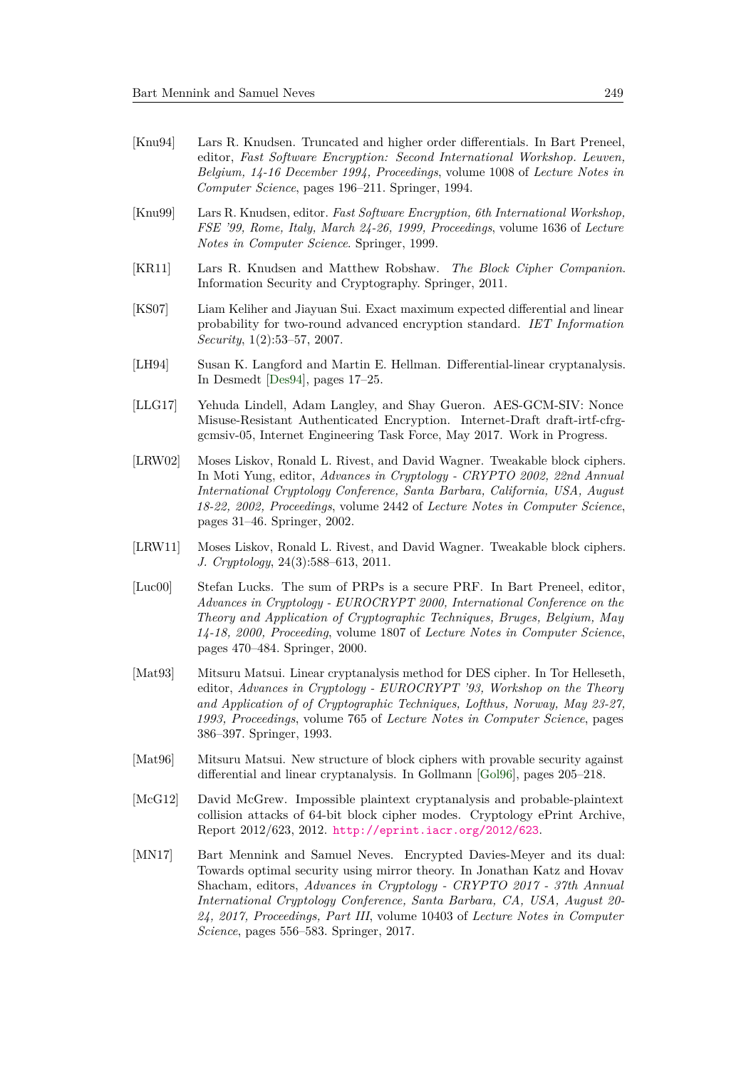- <span id="page-21-3"></span>[Knu94] Lars R. Knudsen. Truncated and higher order differentials. In Bart Preneel, editor, *Fast Software Encryption: Second International Workshop. Leuven, Belgium, 14-16 December 1994, Proceedings*, volume 1008 of *Lecture Notes in Computer Science*, pages 196–211. Springer, 1994.
- <span id="page-21-12"></span>[Knu99] Lars R. Knudsen, editor. *Fast Software Encryption, 6th International Workshop, FSE '99, Rome, Italy, March 24-26, 1999, Proceedings*, volume 1636 of *Lecture Notes in Computer Science*. Springer, 1999.
- <span id="page-21-0"></span>[KR11] Lars R. Knudsen and Matthew Robshaw. *The Block Cipher Companion*. Information Security and Cryptography. Springer, 2011.
- <span id="page-21-9"></span>[KS07] Liam Keliher and Jiayuan Sui. Exact maximum expected differential and linear probability for two-round advanced encryption standard. *IET Information Security*, 1(2):53–57, 2007.
- <span id="page-21-4"></span>[LH94] Susan K. Langford and Martin E. Hellman. Differential-linear cryptanalysis. In Desmedt [\[Des94\]](#page-18-10), pages 17–25.
- <span id="page-21-8"></span>[LLG17] Yehuda Lindell, Adam Langley, and Shay Gueron. AES-GCM-SIV: Nonce Misuse-Resistant Authenticated Encryption. Internet-Draft draft-irtf-cfrggcmsiv-05, Internet Engineering Task Force, May 2017. Work in Progress.
- <span id="page-21-10"></span>[LRW02] Moses Liskov, Ronald L. Rivest, and David Wagner. Tweakable block ciphers. In Moti Yung, editor, *Advances in Cryptology - CRYPTO 2002, 22nd Annual International Cryptology Conference, Santa Barbara, California, USA, August 18-22, 2002, Proceedings*, volume 2442 of *Lecture Notes in Computer Science*, pages 31–46. Springer, 2002.
- <span id="page-21-11"></span>[LRW11] Moses Liskov, Ronald L. Rivest, and David Wagner. Tweakable block ciphers. *J. Cryptology*, 24(3):588–613, 2011.
- <span id="page-21-7"></span>[Luc00] Stefan Lucks. The sum of PRPs is a secure PRF. In Bart Preneel, editor, *Advances in Cryptology - EUROCRYPT 2000, International Conference on the Theory and Application of Cryptographic Techniques, Bruges, Belgium, May 14-18, 2000, Proceeding*, volume 1807 of *Lecture Notes in Computer Science*, pages 470–484. Springer, 2000.
- <span id="page-21-2"></span>[Mat93] Mitsuru Matsui. Linear cryptanalysis method for DES cipher. In Tor Helleseth, editor, *Advances in Cryptology - EUROCRYPT '93, Workshop on the Theory and Application of of Cryptographic Techniques, Lofthus, Norway, May 23-27, 1993, Proceedings*, volume 765 of *Lecture Notes in Computer Science*, pages 386–397. Springer, 1993.
- <span id="page-21-1"></span>[Mat96] Mitsuru Matsui. New structure of block ciphers with provable security against differential and linear cryptanalysis. In Gollmann [\[Gol96\]](#page-19-11), pages 205–218.
- <span id="page-21-5"></span>[McG12] David McGrew. Impossible plaintext cryptanalysis and probable-plaintext collision attacks of 64-bit block cipher modes. Cryptology ePrint Archive, Report 2012/623, 2012. <http://eprint.iacr.org/2012/623>.
- <span id="page-21-6"></span>[MN17] Bart Mennink and Samuel Neves. Encrypted Davies-Meyer and its dual: Towards optimal security using mirror theory. In Jonathan Katz and Hovav Shacham, editors, *Advances in Cryptology - CRYPTO 2017 - 37th Annual International Cryptology Conference, Santa Barbara, CA, USA, August 20- 24, 2017, Proceedings, Part III*, volume 10403 of *Lecture Notes in Computer Science*, pages 556–583. Springer, 2017.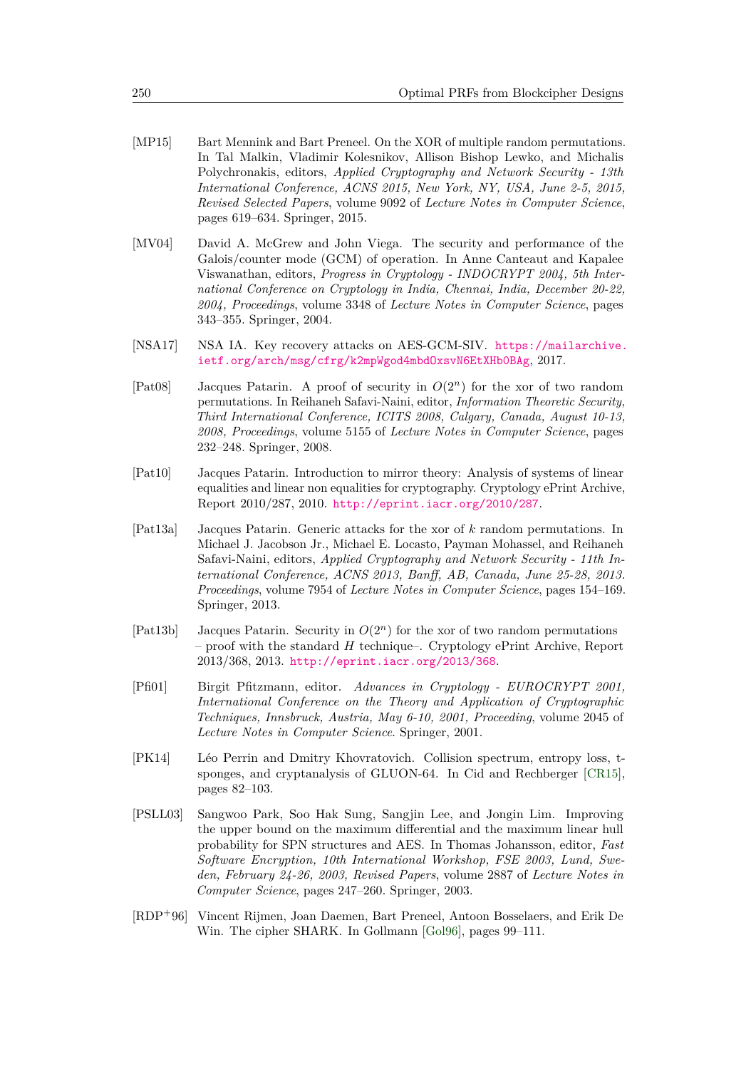- <span id="page-22-5"></span>[MP15] Bart Mennink and Bart Preneel. On the XOR of multiple random permutations. In Tal Malkin, Vladimir Kolesnikov, Allison Bishop Lewko, and Michalis Polychronakis, editors, *Applied Cryptography and Network Security - 13th International Conference, ACNS 2015, New York, NY, USA, June 2-5, 2015, Revised Selected Papers*, volume 9092 of *Lecture Notes in Computer Science*, pages 619–634. Springer, 2015.
- <span id="page-22-1"></span>[MV04] David A. McGrew and John Viega. The security and performance of the Galois/counter mode (GCM) of operation. In Anne Canteaut and Kapalee Viswanathan, editors, *Progress in Cryptology - INDOCRYPT 2004, 5th International Conference on Cryptology in India, Chennai, India, December 20-22, 2004, Proceedings*, volume 3348 of *Lecture Notes in Computer Science*, pages 343–355. Springer, 2004.
- <span id="page-22-8"></span>[NSA17] NSA IA. Key recovery attacks on AES-GCM-SIV. [https://mailarchive.](https://mailarchive.ietf.org/arch/msg/cfrg/k2mpWgod4mbdOxsvN6EtXHb0BAg) [ietf.org/arch/msg/cfrg/k2mpWgod4mbdOxsvN6EtXHb0BAg](https://mailarchive.ietf.org/arch/msg/cfrg/k2mpWgod4mbdOxsvN6EtXHb0BAg), 2017.
- <span id="page-22-2"></span>[Pat08] Jacques Patarin. A proof of security in *O*(2*<sup>n</sup>*) for the xor of two random permutations. In Reihaneh Safavi-Naini, editor, *Information Theoretic Security, Third International Conference, ICITS 2008, Calgary, Canada, August 10-13, 2008, Proceedings*, volume 5155 of *Lecture Notes in Computer Science*, pages 232–248. Springer, 2008.
- <span id="page-22-4"></span>[Pat10] Jacques Patarin. Introduction to mirror theory: Analysis of systems of linear equalities and linear non equalities for cryptography. Cryptology ePrint Archive, Report 2010/287, 2010. <http://eprint.iacr.org/2010/287>.
- <span id="page-22-10"></span>[Pat13a] Jacques Patarin. Generic attacks for the xor of *k* random permutations. In Michael J. Jacobson Jr., Michael E. Locasto, Payman Mohassel, and Reihaneh Safavi-Naini, editors, *Applied Cryptography and Network Security - 11th International Conference, ACNS 2013, Banff, AB, Canada, June 25-28, 2013. Proceedings*, volume 7954 of *Lecture Notes in Computer Science*, pages 154–169. Springer, 2013.
- <span id="page-22-3"></span>[Pat13b] Jacques Patarin. Security in *O*(2*<sup>n</sup>*) for the xor of two random permutations  $-$  proof with the standard  $H$  technique–. Cryptology ePrint Archive, Report 2013/368, 2013. <http://eprint.iacr.org/2013/368>.
- <span id="page-22-9"></span>[Pfi01] Birgit Pfitzmann, editor. *Advances in Cryptology - EUROCRYPT 2001, International Conference on the Theory and Application of Cryptographic Techniques, Innsbruck, Austria, May 6-10, 2001, Proceeding*, volume 2045 of *Lecture Notes in Computer Science*. Springer, 2001.
- <span id="page-22-6"></span>[PK14] Léo Perrin and Dmitry Khovratovich. Collision spectrum, entropy loss, tsponges, and cryptanalysis of GLUON-64. In Cid and Rechberger [\[CR15\]](#page-18-11), pages 82–103.
- <span id="page-22-7"></span>[PSLL03] Sangwoo Park, Soo Hak Sung, Sangjin Lee, and Jongin Lim. Improving the upper bound on the maximum differential and the maximum linear hull probability for SPN structures and AES. In Thomas Johansson, editor, *Fast Software Encryption, 10th International Workshop, FSE 2003, Lund, Sweden, February 24-26, 2003, Revised Papers*, volume 2887 of *Lecture Notes in Computer Science*, pages 247–260. Springer, 2003.
- <span id="page-22-0"></span>[RDP<sup>+</sup>96] Vincent Rijmen, Joan Daemen, Bart Preneel, Antoon Bosselaers, and Erik De Win. The cipher SHARK. In Gollmann [\[Gol96\]](#page-19-11), pages 99–111.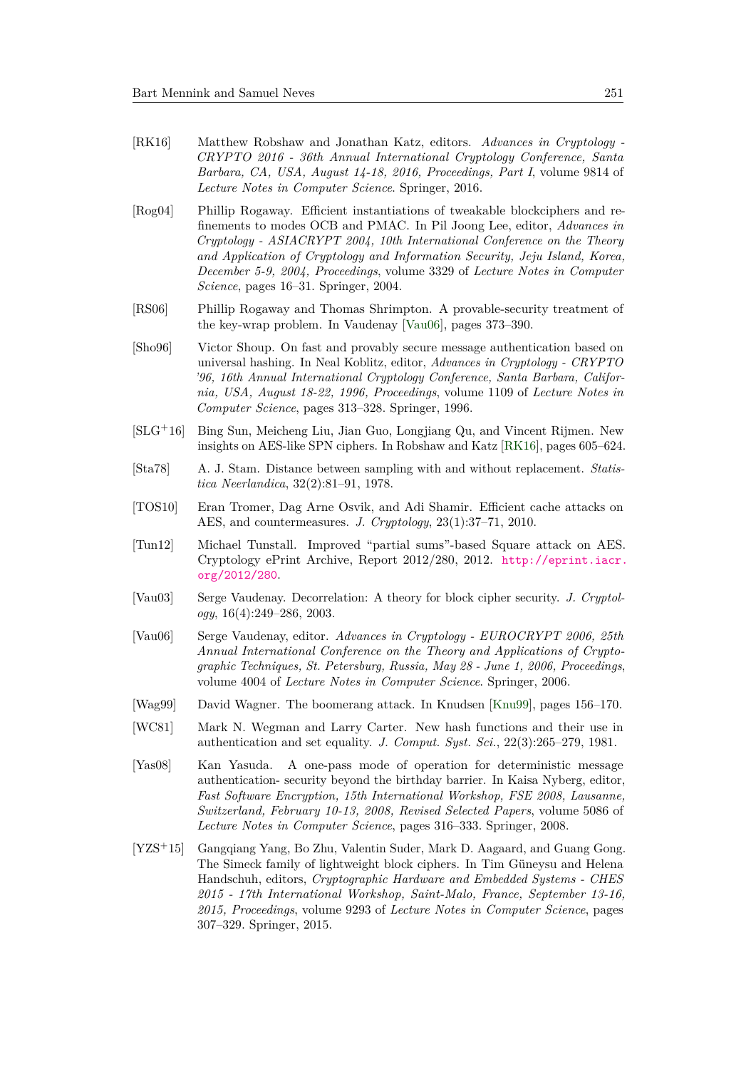- <span id="page-23-13"></span>[RK16] Matthew Robshaw and Jonathan Katz, editors. *Advances in Cryptology - CRYPTO 2016 - 36th Annual International Cryptology Conference, Santa Barbara, CA, USA, August 14-18, 2016, Proceedings, Part I*, volume 9814 of *Lecture Notes in Computer Science*. Springer, 2016.
- <span id="page-23-11"></span>[Rog04] Phillip Rogaway. Efficient instantiations of tweakable blockciphers and refinements to modes OCB and PMAC. In Pil Joong Lee, editor, *Advances in Cryptology - ASIACRYPT 2004, 10th International Conference on the Theory and Application of Cryptology and Information Security, Jeju Island, Korea, December 5-9, 2004, Proceedings*, volume 3329 of *Lecture Notes in Computer Science*, pages 16–31. Springer, 2004.
- <span id="page-23-10"></span>[RS06] Phillip Rogaway and Thomas Shrimpton. A provable-security treatment of the key-wrap problem. In Vaudenay [\[Vau06\]](#page-23-12), pages 373–390.
- <span id="page-23-4"></span>[Sho96] Victor Shoup. On fast and provably secure message authentication based on universal hashing. In Neal Koblitz, editor, *Advances in Cryptology - CRYPTO '96, 16th Annual International Cryptology Conference, Santa Barbara, California, USA, August 18-22, 1996, Proceedings*, volume 1109 of *Lecture Notes in Computer Science*, pages 313–328. Springer, 1996.
- <span id="page-23-9"></span>[SLG<sup>+</sup>16] Bing Sun, Meicheng Liu, Jian Guo, Longjiang Qu, and Vincent Rijmen. New insights on AES-like SPN ciphers. In Robshaw and Katz [\[RK16\]](#page-23-13), pages 605–624.
- <span id="page-23-5"></span>[Sta78] A. J. Stam. Distance between sampling with and without replacement. *Statistica Neerlandica*, 32(2):81–91, 1978.
- <span id="page-23-7"></span>[TOS10] Eran Tromer, Dag Arne Osvik, and Adi Shamir. Efficient cache attacks on AES, and countermeasures. *J. Cryptology*, 23(1):37–71, 2010.
- <span id="page-23-8"></span>[Tun12] Michael Tunstall. Improved "partial sums"-based Square attack on AES. Cryptology ePrint Archive, Report 2012/280, 2012. [http://eprint.iacr.](http://eprint.iacr.org/2012/280) [org/2012/280](http://eprint.iacr.org/2012/280).
- <span id="page-23-0"></span>[Vau03] Serge Vaudenay. Decorrelation: A theory for block cipher security. *J. Cryptology*, 16(4):249–286, 2003.
- <span id="page-23-12"></span>[Vau06] Serge Vaudenay, editor. *Advances in Cryptology - EUROCRYPT 2006, 25th Annual International Conference on the Theory and Applications of Cryptographic Techniques, St. Petersburg, Russia, May 28 - June 1, 2006, Proceedings*, volume 4004 of *Lecture Notes in Computer Science*. Springer, 2006.
- <span id="page-23-1"></span>[Wag99] David Wagner. The boomerang attack. In Knudsen [\[Knu99\]](#page-21-12), pages 156–170.
- <span id="page-23-3"></span>[WC81] Mark N. Wegman and Larry Carter. New hash functions and their use in authentication and set equality. *J. Comput. Syst. Sci.*, 22(3):265–279, 1981.
- <span id="page-23-6"></span>[Yas08] Kan Yasuda. A one-pass mode of operation for deterministic message authentication- security beyond the birthday barrier. In Kaisa Nyberg, editor, *Fast Software Encryption, 15th International Workshop, FSE 2008, Lausanne, Switzerland, February 10-13, 2008, Revised Selected Papers*, volume 5086 of *Lecture Notes in Computer Science*, pages 316–333. Springer, 2008.
- <span id="page-23-2"></span>[YZS<sup>+</sup>15] Gangqiang Yang, Bo Zhu, Valentin Suder, Mark D. Aagaard, and Guang Gong. The Simeck family of lightweight block ciphers. In Tim Güneysu and Helena Handschuh, editors, *Cryptographic Hardware and Embedded Systems - CHES 2015 - 17th International Workshop, Saint-Malo, France, September 13-16, 2015, Proceedings*, volume 9293 of *Lecture Notes in Computer Science*, pages 307–329. Springer, 2015.